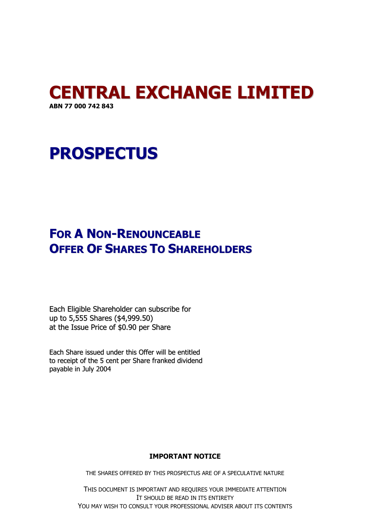### **CENTRAL EXCHANGE LIMITED ABN 77 000 742 843**

# **PROSPECTUS**

## **FOR A NON-RENOUNCEABLE OFFER OF SHARES TO SHAREHOLDERS**

Each Eligible Shareholder can subscribe for up to 5,555 Shares (\$4,999.50) at the Issue Price of \$0.90 per Share

Each Share issued under this Offer will be entitled to receipt of the 5 cent per Share franked dividend payable in July 2004

#### **IMPORTANT NOTICE**

THE SHARES OFFERED BY THIS PROSPECTUS ARE OF A SPECULATIVE NATURE

THIS DOCUMENT IS IMPORTANT AND REQUIRES YOUR IMMEDIATE ATTENTION IT SHOULD BE READ IN ITS ENTIRETY YOU MAY WISH TO CONSULT YOUR PROFESSIONAL ADVISER ABOUT ITS CONTENTS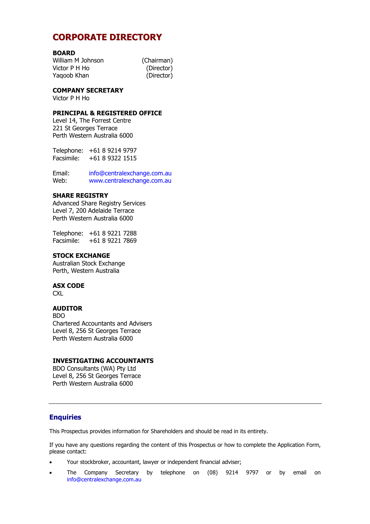### **CORPORATE DIRECTORY**

#### **BOARD**

William M Johnson (Chairman) Victor P H Ho (Director) Yaqoob Khan (Director)

#### **COMPANY SECRETARY**

Victor P H Ho

#### **PRINCIPAL & REGISTERED OFFICE**

Level 14, The Forrest Centre 221 St Georges Terrace Perth Western Australia 6000

Telephone: +61 8 9214 9797 Facsimile: +61 8 9322 1515

Email: info@centralexchange.com.au Web: www.centralexchange.com.au

#### **SHARE REGISTRY**

Advanced Share Registry Services Level 7, 200 Adelaide Terrace Perth Western Australia 6000

Telephone: +61 8 9221 7288 Facsimile: +61 8 9221 7869

#### **STOCK EXCHANGE**

Australian Stock Exchange Perth, Western Australia

#### **ASX CODE**

**CXL** 

#### **AUDITOR**

BDO Chartered Accountants and Advisers Level 8, 256 St Georges Terrace Perth Western Australia 6000

#### **INVESTIGATING ACCOUNTANTS**

BDO Consultants (WA) Pty Ltd Level 8, 256 St Georges Terrace Perth Western Australia 6000

#### **Enquiries**

This Prospectus provides information for Shareholders and should be read in its entirety.

If you have any questions regarding the content of this Prospectus or how to complete the Application Form, please contact:

- Your stockbroker, accountant, lawyer or independent financial adviser;
- The Company Secretary by telephone on (08) 9214 9797 or by email on info@centralexchange.com.au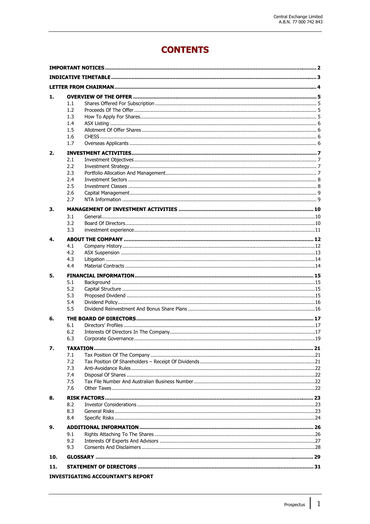### **CONTENTS**

| 1.                                       |     |  |  |  |
|------------------------------------------|-----|--|--|--|
|                                          | 1.1 |  |  |  |
|                                          | 1.2 |  |  |  |
|                                          | 1.3 |  |  |  |
|                                          | 1.4 |  |  |  |
|                                          | 1.5 |  |  |  |
|                                          | 1.6 |  |  |  |
|                                          | 1.7 |  |  |  |
| 2.                                       |     |  |  |  |
|                                          | 2.1 |  |  |  |
|                                          | 2.2 |  |  |  |
|                                          | 2.3 |  |  |  |
|                                          | 2.4 |  |  |  |
|                                          | 2.5 |  |  |  |
|                                          | 2.6 |  |  |  |
|                                          | 2.7 |  |  |  |
| 3.                                       |     |  |  |  |
|                                          | 3.1 |  |  |  |
|                                          | 3.2 |  |  |  |
|                                          | 3.3 |  |  |  |
| 4.                                       |     |  |  |  |
|                                          | 4.1 |  |  |  |
|                                          | 4.2 |  |  |  |
|                                          | 4.3 |  |  |  |
|                                          | 4.4 |  |  |  |
| 5.                                       |     |  |  |  |
|                                          | 5.1 |  |  |  |
|                                          | 5.2 |  |  |  |
|                                          | 5.3 |  |  |  |
|                                          | 5.4 |  |  |  |
|                                          | 5.5 |  |  |  |
| 6.                                       |     |  |  |  |
|                                          | 6.1 |  |  |  |
|                                          | 6.2 |  |  |  |
|                                          | 6.3 |  |  |  |
| 7.                                       |     |  |  |  |
|                                          | 7.1 |  |  |  |
|                                          | 7.2 |  |  |  |
|                                          | 7.3 |  |  |  |
|                                          | 7.4 |  |  |  |
|                                          | 7.5 |  |  |  |
|                                          | 7.6 |  |  |  |
| 8.                                       |     |  |  |  |
|                                          | 8.2 |  |  |  |
|                                          | 8.3 |  |  |  |
|                                          | 8.4 |  |  |  |
| 9.                                       |     |  |  |  |
|                                          | 9.1 |  |  |  |
|                                          | 9.2 |  |  |  |
|                                          | 9.3 |  |  |  |
| 10.                                      |     |  |  |  |
|                                          |     |  |  |  |
| 11.                                      |     |  |  |  |
| <b>INVESTIGATING ACCOUNTANT'S REPORT</b> |     |  |  |  |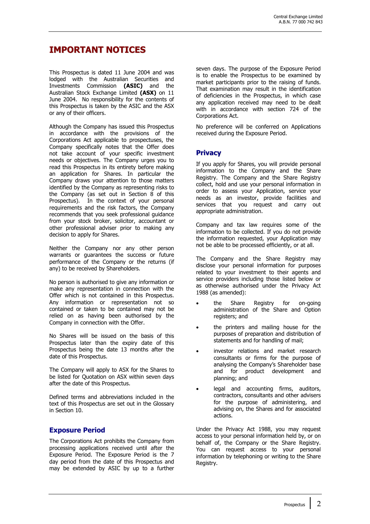### **IMPORTANT NOTICES**

This Prospectus is dated 11 June 2004 and was lodged with the Australian Securities and Investments Commission **(ASIC)** and the Australian Stock Exchange Limited **(ASX)** on 11 June 2004. No responsibility for the contents of this Prospectus is taken by the ASIC and the ASX or any of their officers.

Although the Company has issued this Prospectus in accordance with the provisions of the Corporations Act applicable to prospectuses, the Company specifically notes that the Offer does not take account of your specific investment needs or objectives. The Company urges you to read this Prospectus in its entirety before making an application for Shares. In particular the Company draws your attention to those matters identified by the Company as representing risks to the Company (as set out in Section  $\tilde{8}$  of this Prospectus). In the context of your personal requirements and the risk factors, the Company recommends that you seek professional guidance from your stock broker, solicitor, accountant or other professional adviser prior to making any decision to apply for Shares.

Neither the Company nor any other person warrants or guarantees the success or future performance of the Company or the returns (if any) to be received by Shareholders.

No person is authorised to give any information or make any representation in connection with the Offer which is not contained in this Prospectus. Any information or representation not so contained or taken to be contained may not be relied on as having been authorised by the Company in connection with the Offer.

No Shares will be issued on the basis of this Prospectus later than the expiry date of this Prospectus being the date 13 months after the date of this Prospectus.

The Company will apply to ASX for the Shares to be listed for Quotation on ASX within seven days after the date of this Prospectus.

Defined terms and abbreviations included in the text of this Prospectus are set out in the Glossary in Section 10.

#### **Exposure Period**

The Corporations Act prohibits the Company from processing applications received until after the Exposure Period. The Exposure Period is the 7 day period from the date of this Prospectus and may be extended by ASIC by up to a further

seven days. The purpose of the Exposure Period is to enable the Prospectus to be examined by market participants prior to the raising of funds. That examination may result in the identification of deficiencies in the Prospectus, in which case any application received may need to be dealt with in accordance with section 724 of the Corporations Act.

No preference will be conferred on Applications received during the Exposure Period.

#### **Privacy**

If you apply for Shares, you will provide personal information to the Company and the Share Registry. The Company and the Share Registry collect, hold and use your personal information in order to assess your Application, service your needs as an investor, provide facilities and services that you request and carry out appropriate administration.

Company and tax law requires some of the information to be collected. If you do not provide the information requested, your Application may not be able to be processed efficiently, or at all.

The Company and the Share Registry may disclose your personal information for purposes related to your investment to their agents and service providers including those listed below or as otherwise authorised under the Privacy Act 1988 (as amended):

- the Share Registry for on-going administration of the Share and Option registers; and
- the printers and mailing house for the purposes of preparation and distribution of statements and for handling of mail;
- investor relations and market research consultants or firms for the purpose of analysing the Company's Shareholder base and for product development and planning; and
- legal and accounting firms, auditors, contractors, consultants and other advisers for the purpose of administering, and advising on, the Shares and for associated actions.

Under the Privacy Act 1988, you may request access to your personal information held by, or on behalf of, the Company or the Share Registry. You can request access to your personal information by telephoning or writing to the Share Registry.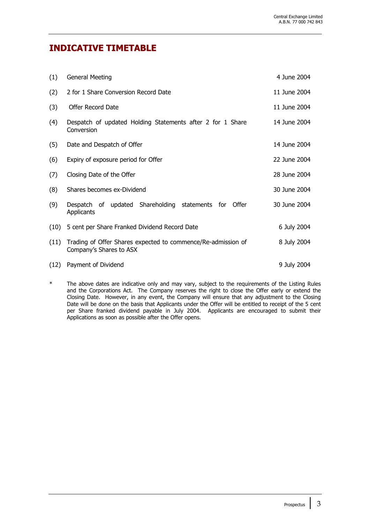### **INDICATIVE TIMETABLE**

| (1)  | <b>General Meeting</b>                                                                  | 4 June 2004  |
|------|-----------------------------------------------------------------------------------------|--------------|
| (2)  | 2 for 1 Share Conversion Record Date                                                    | 11 June 2004 |
| (3)  | Offer Record Date                                                                       | 11 June 2004 |
| (4)  | Despatch of updated Holding Statements after 2 for 1 Share<br>Conversion                | 14 June 2004 |
| (5)  | Date and Despatch of Offer                                                              | 14 June 2004 |
| (6)  | Expiry of exposure period for Offer                                                     | 22 June 2004 |
| (7)  | Closing Date of the Offer                                                               | 28 June 2004 |
| (8)  | Shares becomes ex-Dividend                                                              | 30 June 2004 |
| (9)  | Despatch of updated Shareholding<br>statements for Offer<br>Applicants                  | 30 June 2004 |
| (10) | 5 cent per Share Franked Dividend Record Date                                           | 6 July 2004  |
| (11) | Trading of Offer Shares expected to commence/Re-admission of<br>Company's Shares to ASX | 8 July 2004  |
| (12) | Payment of Dividend                                                                     | 9 July 2004  |

The above dates are indicative only and may vary, subject to the requirements of the Listing Rules and the Corporations Act. The Company reserves the right to close the Offer early or extend the Closing Date. However, in any event, the Company will ensure that any adjustment to the Closing Date will be done on the basis that Applicants under the Offer will be entitled to receipt of the 5 cent per Share franked dividend payable in July 2004. Applicants are encouraged to submit their Applications as soon as possible after the Offer opens.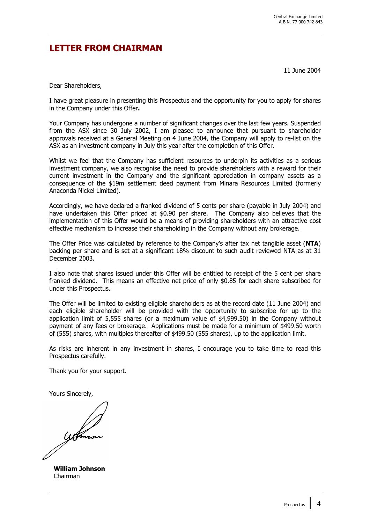### **LETTER FROM CHAIRMAN**

11 June 2004

Dear Shareholders,

I have great pleasure in presenting this Prospectus and the opportunity for you to apply for shares in the Company under this Offer**.** 

Your Company has undergone a number of significant changes over the last few years. Suspended from the ASX since 30 July 2002, I am pleased to announce that pursuant to shareholder approvals received at a General Meeting on 4 June 2004, the Company will apply to re-list on the ASX as an investment company in July this year after the completion of this Offer.

Whilst we feel that the Company has sufficient resources to underpin its activities as a serious investment company, we also recognise the need to provide shareholders with a reward for their current investment in the Company and the significant appreciation in company assets as a consequence of the \$19m settlement deed payment from Minara Resources Limited (formerly Anaconda Nickel Limited).

Accordingly, we have declared a franked dividend of 5 cents per share (payable in July 2004) and have undertaken this Offer priced at \$0.90 per share. The Company also believes that the implementation of this Offer would be a means of providing shareholders with an attractive cost effective mechanism to increase their shareholding in the Company without any brokerage.

The Offer Price was calculated by reference to the Company's after tax net tangible asset (**NTA**) backing per share and is set at a significant 18% discount to such audit reviewed NTA as at 31 December 2003.

I also note that shares issued under this Offer will be entitled to receipt of the 5 cent per share franked dividend. This means an effective net price of only \$0.85 for each share subscribed for under this Prospectus.

The Offer will be limited to existing eligible shareholders as at the record date (11 June 2004) and each eligible shareholder will be provided with the opportunity to subscribe for up to the application limit of 5,555 shares (or a maximum value of \$4,999.50) in the Company without payment of any fees or brokerage. Applications must be made for a minimum of \$499.50 worth of (555) shares, with multiples thereafter of \$499.50 (555 shares), up to the application limit.

As risks are inherent in any investment in shares, I encourage you to take time to read this Prospectus carefully.

Thank you for your support.

Yours Sincerely,

**William Johnson** Chairman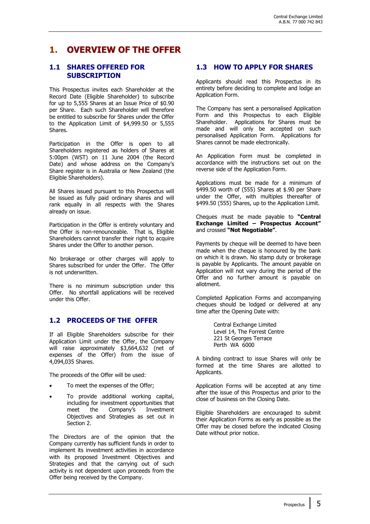### **1. OVERVIEW OF THE OFFER**

#### **1.1 SHARES OFFERED FOR SUBSCRIPTION**

This Prospectus invites each Shareholder at the Record Date (Eligible Shareholder) to subscribe for up to 5,555 Shares at an Issue Price of \$0.90 per Share. Each such Shareholder will therefore be entitled to subscribe for Shares under the Offer to the Application Limit of \$4,999.50 or 5,555 Shares.

Participation in the Offer is open to all Shareholders registered as holders of Shares at 5:00pm (WST) on 11 June 2004 (the Record Date) and whose address on the Company's Share register is in Australia or New Zealand (the Eligible Shareholders).

All Shares issued pursuant to this Prospectus will be issued as fully paid ordinary shares and will rank equally in all respects with the Shares already on issue.

Participation in the Offer is entirely voluntary and the Offer is non-renounceable. That is, Eligible Shareholders cannot transfer their right to acquire Shares under the Offer to another person.

No brokerage or other charges will apply to Shares subscribed for under the Offer. The Offer is not underwritten.

There is no minimum subscription under this Offer. No shortfall applications will be received under this Offer.

#### **1.2 PROCEEDS OF THE OFFER**

If all Eligible Shareholders subscribe for their Application Limit under the Offer, the Company will raise approximately \$3,664,632 (net of expenses of the Offer) from the issue of 4,094,035 Shares.

The proceeds of the Offer will be used:

- To meet the expenses of the Offer;
- To provide additional working capital, including for investment opportunities that meet the Company's Investment Objectives and Strategies as set out in Section 2.

The Directors are of the opinion that the Company currently has sufficient funds in order to implement its investment activities in accordance with its proposed Investment Objectives and Strategies and that the carrying out of such activity is not dependent upon proceeds from the Offer being received by the Company.

#### **1.3 HOW TO APPLY FOR SHARES**

Applicants should read this Prospectus in its entirety before deciding to complete and lodge an Application Form.

The Company has sent a personalised Application Form and this Prospectus to each Eligible Shareholder. Applications for Shares must be made and will only be accepted on such personalised Application Form. Applications for Shares cannot be made electronically.

An Application Form must be completed in accordance with the instructions set out on the reverse side of the Application Form.

Applications must be made for a minimum of \$499.50 worth of (555) Shares at \$.90 per Share under the Offer, with multiples thereafter of \$499.50 (555) Shares, up to the Application Limit.

Cheques must be made payable to **"Central Exchange Limited – Prospectus Account"** and crossed **"Not Negotiable"**.

Payments by cheque will be deemed to have been made when the cheque is honoured by the bank on which it is drawn. No stamp duty or brokerage is payable by Applicants. The amount payable on Application will not vary during the period of the Offer and no further amount is payable on allotment.

Completed Application Forms and accompanying cheques should be lodged or delivered at any time after the Opening Date with:

> Central Exchange Limited Level 14, The Forrest Centre 221 St Georges Terrace Perth WA 6000

A binding contract to issue Shares will only be formed at the time Shares are allotted to Applicants.

Application Forms will be accepted at any time after the issue of this Prospectus and prior to the close of business on the Closing Date.

Eligible Shareholders are encouraged to submit their Application Forms as early as possible as the Offer may be closed before the indicated Closing Date without prior notice.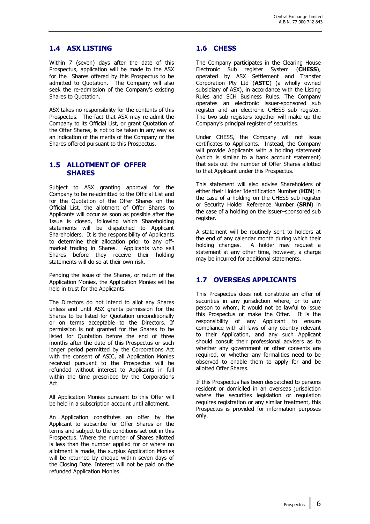#### **1.4 ASX LISTING**

Within 7 (seven) days after the date of this Prospectus, application will be made to the ASX for the Shares offered by this Prospectus to be admitted to Quotation. The Company will also seek the re-admission of the Company's existing Shares to Quotation.

ASX takes no responsibility for the contents of this Prospectus. The fact that ASX may re-admit the Company to its Official List, or grant Quotation of the Offer Shares, is not to be taken in any way as an indication of the merits of the Company or the Shares offered pursuant to this Prospectus.

#### **1.5 ALLOTMENT OF OFFER SHARES**

Subject to ASX granting approval for the Company to be re-admitted to the Official List and for the Quotation of the Offer Shares on the Official List, the allotment of Offer Shares to Applicants will occur as soon as possible after the Issue is closed, following which Shareholding statements will be dispatched to Applicant Shareholders. It is the responsibility of Applicants to determine their allocation prior to any offmarket trading in Shares. Applicants who sell Shares before they receive their holding statements will do so at their own risk.

Pending the issue of the Shares, or return of the Application Monies, the Application Monies will be held in trust for the Applicants.

The Directors do not intend to allot any Shares unless and until ASX grants permission for the Shares to be listed for Quotation unconditionally or on terms acceptable to the Directors. If permission is not granted for the Shares to be listed for Quotation before the end of three months after the date of this Prospectus or such longer period permitted by the Corporations Act with the consent of ASIC, all Application Monies received pursuant to the Prospectus will be refunded without interest to Applicants in full within the time prescribed by the Corporations Act.

All Application Monies pursuant to this Offer will be held in a subscription account until allotment.

An Application constitutes an offer by the Applicant to subscribe for Offer Shares on the terms and subject to the conditions set out in this Prospectus. Where the number of Shares allotted is less than the number applied for or where no allotment is made, the surplus Application Monies will be returned by cheque within seven days of the Closing Date. Interest will not be paid on the refunded Application Monies.

#### **1.6 CHESS**

The Company participates in the Clearing House Electronic Sub register System (**CHESS**), operated by ASX Settlement and Transfer Corporation Pty Ltd (**ASTC**) (a wholly owned subsidiary of ASX), in accordance with the Listing Rules and SCH Business Rules. The Company operates an electronic issuer-sponsored sub register and an electronic CHESS sub register. The two sub registers together will make up the Company's principal register of securities.

Under CHESS, the Company will not issue certificates to Applicants. Instead, the Company will provide Applicants with a holding statement (which is similar to a bank account statement) that sets out the number of Offer Shares allotted to that Applicant under this Prospectus.

This statement will also advise Shareholders of either their Holder Identification Number (**HIN**) in the case of a holding on the CHESS sub register or Security Holder Reference Number (**SRN**) in the case of a holding on the issuer–sponsored sub register.

A statement will be routinely sent to holders at the end of any calendar month during which their holding changes. A holder may request a statement at any other time, however, a charge may be incurred for additional statements.

### **1.7 OVERSEAS APPLICANTS**

This Prospectus does not constitute an offer of securities in any jurisdiction where, or to any person to whom, it would not be lawful to issue this Prospectus or make the Offer. It is the responsibility of any Applicant to ensure compliance with all laws of any country relevant to their Application, and any such Applicant should consult their professional advisers as to whether any government or other consents are required, or whether any formalities need to be observed to enable them to apply for and be allotted Offer Shares.

If this Prospectus has been despatched to persons resident or domiciled in an overseas jurisdiction where the securities legislation or regulation requires registration or any similar treatment, this Prospectus is provided for information purposes only.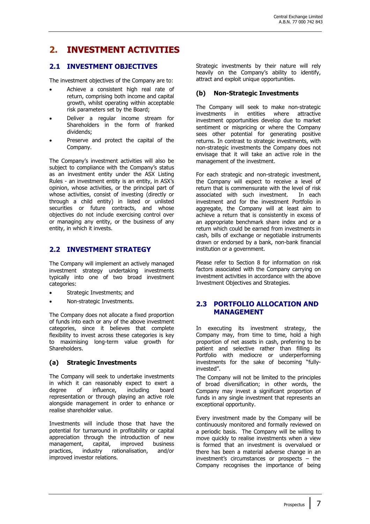### **2. INVESTMENT ACTIVITIES**

#### **2.1 INVESTMENT OBJECTIVES**

The investment objectives of the Company are to:

- Achieve a consistent high real rate of return, comprising both income and capital growth, whilst operating within acceptable risk parameters set by the Board;
- Deliver a regular income stream for Shareholders in the form of franked dividends;
- Preserve and protect the capital of the Company.

The Company's investment activities will also be subject to compliance with the Company's status as an investment entity under the ASX Listing Rules - an investment entity is an entity, in ASX's opinion, whose activities, or the principal part of whose activities, consist of investing (directly or through a child entity) in listed or unlisted securities or future contracts, and whose objectives do not include exercising control over or managing any entity, or the business of any entity, in which it invests.

#### **2.2 INVESTMENT STRATEGY**

The Company will implement an actively managed investment strategy undertaking investments typically into one of two broad investment categories:

- Strategic Investments; and
- Non-strategic Investments.

The Company does not allocate a fixed proportion of funds into each or any of the above investment categories, since it believes that complete flexibility to invest across these categories is key to maximising long-term value growth for Shareholders.

#### **(a) Strategic Investments**

The Company will seek to undertake investments in which it can reasonably expect to exert a degree of influence, including board representation or through playing an active role alongside management in order to enhance or realise shareholder value.

Investments will include those that have the potential for turnaround in profitability or capital appreciation through the introduction of new management, capital, improved business practices, industry rationalisation, and/or improved investor relations.

Strategic investments by their nature will rely heavily on the Company's ability to identify, attract and exploit unique opportunities.

#### **(b) Non-Strategic Investments**

The Company will seek to make non-strategic investments in entities where attractive investment opportunities develop due to market sentiment or mispricing or where the Company sees other potential for generating positive returns. In contrast to strategic investments, with non-strategic investments the Company does not envisage that it will take an active role in the management of the investment.

For each strategic and non-strategic investment, the Company will expect to receive a level of return that is commensurate with the level of risk associated with such investment. In each investment and for the investment Portfolio in aggregate, the Company will at least aim to achieve a return that is consistently in excess of an appropriate benchmark share index and or a return which could be earned from investments in cash, bills of exchange or negotiable instruments drawn or endorsed by a bank, non-bank financial institution or a government.

Please refer to Section 8 for information on risk factors associated with the Company carrying on investment activities in accordance with the above Investment Objectives and Strategies.

#### **2.3 PORTFOLIO ALLOCATION AND MANAGEMENT**

In executing its investment strategy, the Company may, from time to time, hold a high proportion of net assets in cash, preferring to be patient and selective rather than filling its Portfolio with mediocre or underperforming investments for the sake of becoming "fullyinvested".

The Company will not be limited to the principles of broad diversification; in other words, the Company may invest a significant proportion of funds in any single investment that represents an exceptional opportunity.

Every investment made by the Company will be continuously monitored and formally reviewed on a periodic basis. The Company will be willing to move quickly to realise investments when a view is formed that an investment is overvalued or there has been a material adverse change in an investment's circumstances or prospects – the Company recognises the importance of being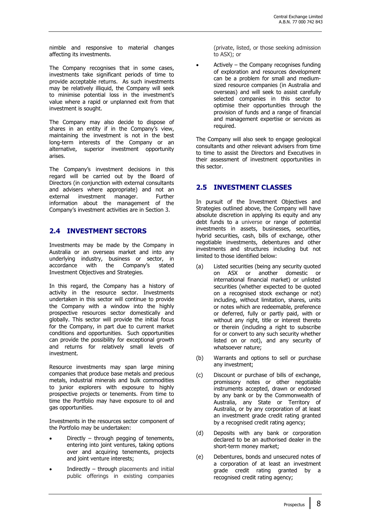nimble and responsive to material changes affecting its investments.

The Company recognises that in some cases, investments take significant periods of time to provide acceptable returns. As such investments may be relatively illiquid, the Company will seek to minimise potential loss in the investment's value where a rapid or unplanned exit from that investment is sought.

The Company may also decide to dispose of shares in an entity if in the Company's view, maintaining the investment is not in the best long-term interests of the Company or an alternative, superior investment opportunity arises.

The Company's investment decisions in this regard will be carried out by the Board of Directors (in conjunction with external consultants and advisers where appropriate) and not an external investment manager. Further information about the management of the Company's investment activities are in Section 3.

#### **2.4 INVESTMENT SECTORS**

Investments may be made by the Company in Australia or an overseas market and into any underlying industry, business or sector, in accordance with the Company's stated Investment Objectives and Strategies.

In this regard, the Company has a history of activity in the resource sector. Investments undertaken in this sector will continue to provide the Company with a window into the highly prospective resources sector domestically and globally. This sector will provide the initial focus for the Company, in part due to current market conditions and opportunities. Such opportunities can provide the possibility for exceptional growth and returns for relatively small levels of investment.

Resource investments may span large mining companies that produce base metals and precious metals, industrial minerals and bulk commodities to junior explorers with exposure to highly prospective projects or tenements. From time to time the Portfolio may have exposure to oil and gas opportunities.

Investments in the resources sector component of the Portfolio may be undertaken:

- Directly  $-$  through pegging of tenements, entering into joint ventures, taking options over and acquiring tenements, projects and joint venture interests;
- Indirectly  $-$  through placements and initial public offerings in existing companies

(private, listed, or those seeking admission to ASX); or

Actively  $-$  the Company recognises funding of exploration and resources development can be a problem for small and mediumsized resource companies (in Australia and overseas) and will seek to assist carefully selected companies in this sector to optimise their opportunities through the provision of funds and a range of financial and management expertise or services as required.

The Company will also seek to engage geological consultants and other relevant advisers from time to time to assist the Directors and Executives in their assessment of investment opportunities in this sector.

#### **2.5 INVESTMENT CLASSES**

In pursuit of the Investment Objectives and Strategies outlined above, the Company will have absolute discretion in applying its equity and any debt funds to a universe or range of potential investments in assets, businesses, securities, hybrid securities, cash, bills of exchange, other negotiable investments, debentures and other investments and structures including but not limited to those identified below:

- (a) Listed securities (being any security quoted on ASX or another domestic or international financial market) or unlisted securities (whether expected to be quoted on a recognised stock exchange or not) including, without limitation, shares, units or notes which are redeemable, preference or deferred, fully or partly paid, with or without any right, title or interest thereto or therein (including a right to subscribe for or convert to any such security whether listed on or not), and any security of whatsoever nature;
- (b) Warrants and options to sell or purchase any investment;
- (c) Discount or purchase of bills of exchange, promissory notes or other negotiable instruments accepted, drawn or endorsed by any bank or by the Commonwealth of Australia, any State or Territory of Australia, or by any corporation of at least an investment grade credit rating granted by a recognised credit rating agency;
- (d) Deposits with any bank or corporation declared to be an authorised dealer in the short-term money market;
- (e) Debentures, bonds and unsecured notes of a corporation of at least an investment grade credit rating granted by a recognised credit rating agency;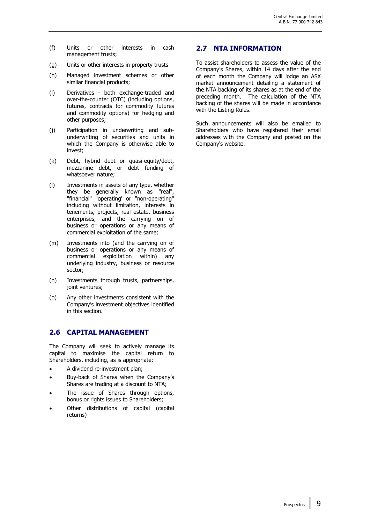- (f) Units or other interests in cash management trusts;
- (g) Units or other interests in property trusts
- (h) Managed investment schemes or other similar financial products;
- (i) Derivatives both exchange-traded and over-the-counter (OTC) (including options, futures, contracts for commodity futures and commodity options) for hedging and other purposes;
- (j) Participation in underwriting and subunderwriting of securities and units in which the Company is otherwise able to invest;
- (k) Debt, hybrid debt or quasi-equity/debt, mezzanine debt, or debt funding of whatsoever nature;
- (l) Investments in assets of any type, whether they be generally known as "real", "financial" "operating' or "non-operating" including without limitation, interests in tenements, projects, real estate, business enterprises, and the carrying on of business or operations or any means of commercial exploitation of the same;
- (m) Investments into (and the carrying on of business or operations or any means of commercial exploitation within) any underlying industry, business or resource sector;
- (n) Investments through trusts, partnerships, joint ventures;
- (o) Any other investments consistent with the Company's investment objectives identified in this section.

#### **2.6 CAPITAL MANAGEMENT**

The Company will seek to actively manage its capital to maximise the capital return to Shareholders, including, as is appropriate:

- A dividend re-investment plan;
- Buy-back of Shares when the Company's Shares are trading at a discount to NTA;
- The issue of Shares through options, bonus or rights issues to Shareholders;
- Other distributions of capital (capital returns)

#### **2.7 NTA INFORMATION**

To assist shareholders to assess the value of the Company's Shares, within 14 days after the end of each month the Company will lodge an ASX market announcement detailing a statement of the NTA backing of its shares as at the end of the preceding month. The calculation of the NTA backing of the shares will be made in accordance with the Listing Rules.

Such announcements will also be emailed to Shareholders who have registered their email addresses with the Company and posted on the Company's website.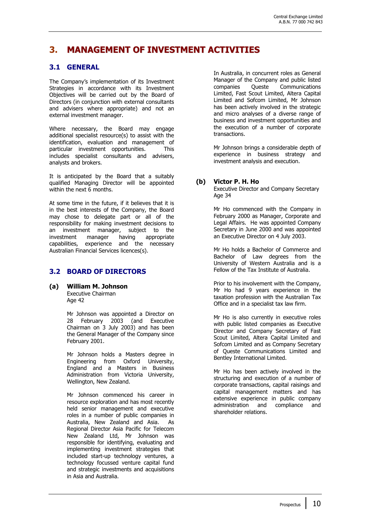### **3. MANAGEMENT OF INVESTMENT ACTIVITIES**

#### **3.1 GENERAL**

The Company's implementation of its Investment Strategies in accordance with its Investment Objectives will be carried out by the Board of Directors (in conjunction with external consultants and advisers where appropriate) and not an external investment manager.

Where necessary, the Board may engage additional specialist resource(s) to assist with the identification, evaluation and management of particular investment opportunities. This includes specialist consultants and advisers, analysts and brokers.

It is anticipated by the Board that a suitably qualified Managing Director will be appointed within the next 6 months.

At some time in the future, if it believes that it is in the best interests of the Company, the Board may chose to delegate part or all of the responsibility for making investment decisions to an investment manager, subject to the investment manager having appropriate capabilities, experience and the necessary Australian Financial Services licences(s).

#### **3.2 BOARD OF DIRECTORS**

**(a) William M. Johnson** 

Executive Chairman Age 42

Mr Johnson was appointed a Director on 28 February 2003 (and Executive Chairman on 3 July 2003) and has been the General Manager of the Company since February 2001.

Mr Johnson holds a Masters degree in Engineering from Oxford University, England and a Masters in Business Administration from Victoria University, Wellington, New Zealand.

Mr Johnson commenced his career in resource exploration and has most recently held senior management and executive roles in a number of public companies in Australia, New Zealand and Asia. As Regional Director Asia Pacific for Telecom New Zealand Ltd, Mr Johnson was responsible for identifying, evaluating and implementing investment strategies that included start-up technology ventures, a technology focussed venture capital fund and strategic investments and acquisitions in Asia and Australia.

In Australia, in concurrent roles as General Manager of the Company and public listed companies Queste Communications Limited, Fast Scout Limited, Altera Capital Limited and Sofcom Limited, Mr Johnson has been actively involved in the strategic and micro analyses of a diverse range of business and investment opportunities and the execution of a number of corporate transactions.

Mr Johnson brings a considerable depth of experience in business strategy and investment analysis and execution.

#### **(b) Victor P. H. Ho**

Executive Director and Company Secretary Age 34

Mr Ho commenced with the Company in February 2000 as Manager, Corporate and Legal Affairs. He was appointed Company Secretary in June 2000 and was appointed an Executive Director on 4 July 2003.

Mr Ho holds a Bachelor of Commerce and Bachelor of Law degrees from the University of Western Australia and is a Fellow of the Tax Institute of Australia.

Prior to his involvement with the Company, Mr Ho had 9 years experience in the taxation profession with the Australian Tax Office and in a specialist tax law firm.

Mr Ho is also currently in executive roles with public listed companies as Executive Director and Company Secretary of Fast Scout Limited, Altera Capital Limited and Sofcom Limited and as Company Secretary of Queste Communications Limited and Bentley International Limited.

Mr Ho has been actively involved in the structuring and execution of a number of corporate transactions, capital raisings and capital management matters and has extensive experience in public company administration and compliance and shareholder relations.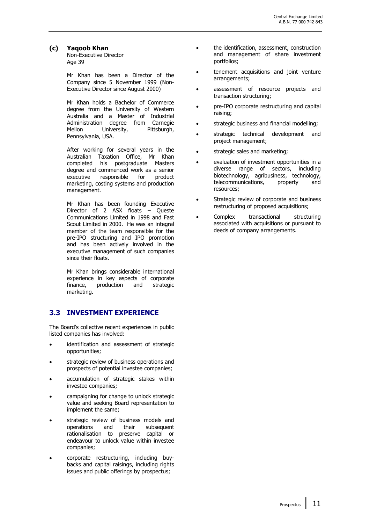#### **(c) Yaqoob Khan**

Non-Executive Director Age 39

Mr Khan has been a Director of the Company since 5 November 1999 (Non-Executive Director since August 2000)

Mr Khan holds a Bachelor of Commerce degree from the University of Western Australia and a Master of Industrial Administration degree from Carnegie Mellon University, Pittsburgh, Pennsylvania, USA.

After working for several years in the Australian Taxation Office, Mr Khan completed his postgraduate Masters degree and commenced work as a senior executive responsible for product marketing, costing systems and production management.

Mr Khan has been founding Executive Director of 2 ASX floats – Queste Communications Limited in 1998 and Fast Scout Limited in 2000. He was an integral member of the team responsible for the pre-IPO structuring and IPO promotion and has been actively involved in the executive management of such companies since their floats.

Mr Khan brings considerable international experience in key aspects of corporate finance, production and strategic marketing.

#### **3.3 INVESTMENT EXPERIENCE**

The Board's collective recent experiences in public listed companies has involved:

- identification and assessment of strategic opportunities;
- strategic review of business operations and prospects of potential investee companies;
- accumulation of strategic stakes within investee companies;
- campaigning for change to unlock strategic value and seeking Board representation to implement the same;
- strategic review of business models and operations and their subsequent rationalisation to preserve capital or endeavour to unlock value within investee companies;
- corporate restructuring, including buybacks and capital raisings, including rights issues and public offerings by prospectus;
- the identification, assessment, construction and management of share investment portfolios;
- tenement acquisitions and joint venture arrangements;
- assessment of resource projects and transaction structuring;
- pre-IPO corporate restructuring and capital raising;
- strategic business and financial modelling;
- strategic technical development and project management;
- strategic sales and marketing;
- evaluation of investment opportunities in a diverse range of sectors, including biotechnology, agribusiness, technology,<br>telecommunications, property and telecommunications, property and resources;
- Strategic review of corporate and business restructuring of proposed acquisitions;
- Complex transactional structuring associated with acquisitions or pursuant to deeds of company arrangements.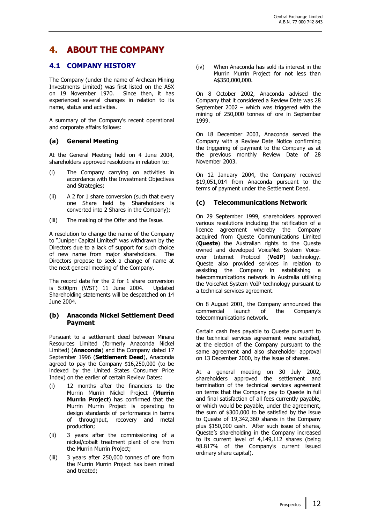### **4. ABOUT THE COMPANY**

#### **4.1 COMPANY HISTORY**

The Company (under the name of Archean Mining Investments Limited) was first listed on the ASX on 19 November 1970. Since then, it has experienced several changes in relation to its name, status and activities.

A summary of the Company's recent operational and corporate affairs follows:

#### **(a) General Meeting**

At the General Meeting held on 4 June 2004, shareholders approved resolutions in relation to:

- (i) The Company carrying on activities in accordance with the Investment Objectives and Strategies;
- (ii) A 2 for 1 share conversion (such that every one Share held by Shareholders is converted into 2 Shares in the Company);
- (iii) The making of the Offer and the Issue.

A resolution to change the name of the Company to "Juniper Capital Limited" was withdrawn by the Directors due to a lack of support for such choice of new name from major shareholders. The Directors propose to seek a change of name at the next general meeting of the Company.

The record date for the 2 for 1 share conversion is 5:00pm (WST) 11 June 2004. Updated Shareholding statements will be despatched on 14 June 2004.

#### **(b) Anaconda Nickel Settlement Deed Payment**

Pursuant to a settlement deed between Minara Resources Limited (formerly Anaconda Nickel Limited) (**Anaconda**) and the Company dated 17 September 1996 (**Settlement Deed**), Anaconda agreed to pay the Company \$16,250,000 (to be indexed by the United States Consumer Price Index) on the earlier of certain Review Dates:

- (i) 12 months after the financiers to the Murrin Murrin Nickel Project (**Murrin Murrin Project**) has confirmed that the Murrin Murrin Project is operating to design standards of performance in terms of throughput, recovery and metal production;
- (ii) 3 years after the commissioning of a nickel/cobalt treatment plant of ore from the Murrin Murrin Project;
- (iii) 3 years after 250,000 tonnes of ore from the Murrin Murrin Project has been mined and treated;

(iv) When Anaconda has sold its interest in the Murrin Murrin Project for not less than A\$350,000,000.

On 8 October 2002, Anaconda advised the Company that it considered a Review Date was 28 September 2002 – which was triggered with the mining of 250,000 tonnes of ore in September 1999.

On 18 December 2003, Anaconda served the Company with a Review Date Notice confirming the triggering of payment to the Company as at the previous monthly Review Date of 28 November 2003.

On 12 January 2004, the Company received \$19,051,014 from Anaconda pursuant to the terms of payment under the Settlement Deed.

#### **(c) Telecommunications Network**

On 29 September 1999, shareholders approved various resolutions including the ratification of a licence agreement whereby the Company acquired from Queste Communications Limited (**Queste**) the Australian rights to the Queste owned and developed VoiceNet System Voiceover Internet Protocol (**VoIP**) technology. Queste also provided services in relation to assisting the Company in establishing a telecommunications network in Australia utilising the VoiceNet System VoIP technology pursuant to a technical services agreement.

On 8 August 2001, the Company announced the commercial launch of the Company's telecommunications network.

Certain cash fees payable to Queste pursuant to the technical services agreement were satisfied, at the election of the Company pursuant to the same agreement and also shareholder approval on 13 December 2000, by the issue of shares.

At a general meeting on 30 July 2002, shareholders approved the settlement and termination of the technical services agreement on terms that the Company pay to Queste in full and final satisfaction of all fees currently payable, or which would be payable, under the agreement, the sum of \$300,000 to be satisfied by the issue to Queste of 19,342,360 shares in the Company plus \$150,000 cash. After such issue of shares, Queste's shareholding in the Company increased to its current level of 4,149,112 shares (being 48.817% of the Company's current issued ordinary share capital).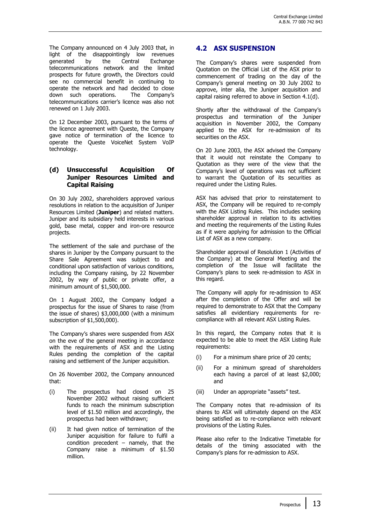The Company announced on 4 July 2003 that, in light of the disappointingly low revenues generated by the Central Exchange telecommunications network and the limited prospects for future growth, the Directors could see no commercial benefit in continuing to operate the network and had decided to close down such operations. The Company's telecommunications carrier's licence was also not renewed on 1 July 2003.

On 12 December 2003, pursuant to the terms of the licence agreement with Queste, the Company gave notice of termination of the licence to operate the Queste VoiceNet System VoIP technology.

#### **(d) Unsuccessful Acquisition Of Juniper Resources Limited and Capital Raising**

On 30 July 2002, shareholders approved various resolutions in relation to the acquisition of Juniper Resources Limited (**Juniper**) and related matters. Juniper and its subsidiary held interests in various gold, base metal, copper and iron-ore resource projects.

The settlement of the sale and purchase of the shares in Juniper by the Company pursuant to the Share Sale Agreement was subject to and conditional upon satisfaction of various conditions, including the Company raising, by 22 November 2002, by way of public or private offer, a minimum amount of \$1,500,000.

On 1 August 2002, the Company lodged a prospectus for the issue of Shares to raise (from the issue of shares) \$3,000,000 (with a minimum subscription of \$1,500,000).

The Company's shares were suspended from ASX on the eve of the general meeting in accordance with the requirements of ASX and the Listing Rules pending the completion of the capital raising and settlement of the Juniper acquisition.

On 26 November 2002, the Company announced that:

- (i) The prospectus had closed on 25 November 2002 without raising sufficient funds to reach the minimum subscription level of \$1.50 million and accordingly, the prospectus had been withdrawn;
- (ii) It had given notice of termination of the Juniper acquisition for failure to fulfil a condition precedent  $-$  namely, that the Company raise a minimum of \$1.50 million.

#### **4.2 ASX SUSPENSION**

The Company's shares were suspended from Quotation on the Official List of the ASX prior to commencement of trading on the day of the Company's general meeting on 30 July 2002 to approve, inter alia, the Juniper acquisition and capital raising referred to above in Section 4.1(d).

Shortly after the withdrawal of the Company's prospectus and termination of the Juniper acquisition in November 2002, the Company applied to the ASX for re-admission of its securities on the ASX.

On 20 June 2003, the ASX advised the Company that it would not reinstate the Company to Quotation as they were of the view that the Company's level of operations was not sufficient to warrant the Quotation of its securities as required under the Listing Rules.

ASX has advised that prior to reinstatement to ASX, the Company will be required to re-comply with the ASX Listing Rules. This includes seeking shareholder approval in relation to its activities and meeting the requirements of the Listing Rules as if it were applying for admission to the Official List of ASX as a new company.

Shareholder approval of Resolution 1 (Activities of the Company) at the General Meeting and the completion of the Issue will facilitate the Company's plans to seek re-admission to ASX in this regard.

The Company will apply for re-admission to ASX after the completion of the Offer and will be required to demonstrate to ASX that the Company satisfies all evidentiary requirements for recompliance with all relevant ASX Listing Rules.

In this regard, the Company notes that it is expected to be able to meet the ASX Listing Rule requirements:

- (i) For a minimum share price of 20 cents;
- (ii) For a minimum spread of shareholders each having a parcel of at least \$2,000; and
- (iii) Under an appropriate "assets" test.

The Company notes that re-admission of its shares to ASX will ultimately depend on the ASX being satisfied as to re-compliance with relevant provisions of the Listing Rules.

Please also refer to the Indicative Timetable for details of the timing associated with the Company's plans for re-admission to ASX.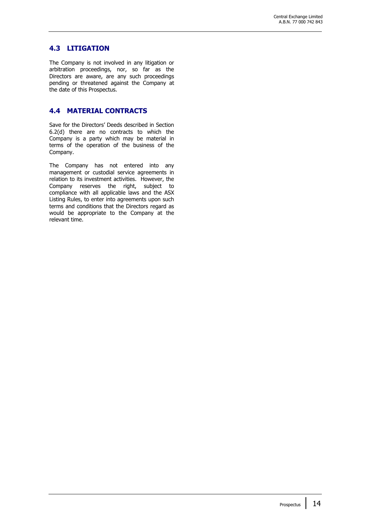#### **4.3 LITIGATION**

The Company is not involved in any litigation or arbitration proceedings, nor, so far as the Directors are aware, are any such proceedings pending or threatened against the Company at the date of this Prospectus.

#### **4.4 MATERIAL CONTRACTS**

Save for the Directors' Deeds described in Section 6.2(d) there are no contracts to which the Company is a party which may be material in terms of the operation of the business of the Company.

The Company has not entered into any management or custodial service agreements in relation to its investment activities. However, the Company reserves the right, subject to compliance with all applicable laws and the ASX Listing Rules, to enter into agreements upon such terms and conditions that the Directors regard as would be appropriate to the Company at the relevant time.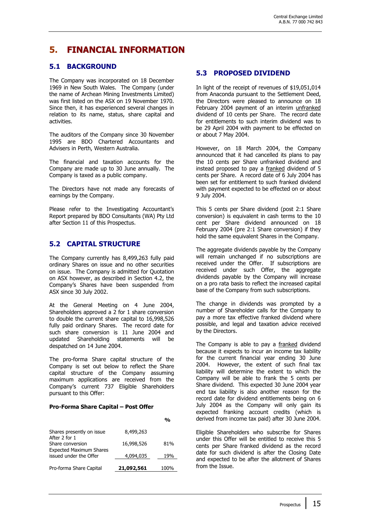### **5. FINANCIAL INFORMATION**

#### **5.1 BACKGROUND**

The Company was incorporated on 18 December 1969 in New South Wales. The Company (under the name of Archean Mining Investments Limited) was first listed on the ASX on 19 November 1970. Since then, it has experienced several changes in relation to its name, status, share capital and activities.

The auditors of the Company since 30 November 1995 are BDO Chartered Accountants and Advisers in Perth, Western Australia.

The financial and taxation accounts for the Company are made up to 30 June annually. The Company is taxed as a public company.

The Directors have not made any forecasts of earnings by the Company.

Please refer to the Investigating Accountant's Report prepared by BDO Consultants (WA) Pty Ltd after Section 11 of this Prospectus.

#### **5.2 CAPITAL STRUCTURE**

The Company currently has 8,499,263 fully paid ordinary Shares on issue and no other securities on issue. The Company is admitted for Quotation on ASX however, as described in Section 4.2, the Company's Shares have been suspended from ASX since 30 July 2002.

At the General Meeting on 4 June 2004, Shareholders approved a 2 for 1 share conversion to double the current share capital to 16,998,526 fully paid ordinary Shares. The record date for such share conversion is 11 June 2004 and updated Shareholding statements will be despatched on 14 June 2004.

The pro-forma Share capital structure of the Company is set out below to reflect the Share capital structure of the Company assuming maximum applications are received from the Company's current 737 Eligible Shareholders pursuant to this Offer:

#### **Pro-Forma Share Capital – Post Offer**

|                                                          |            | %    |
|----------------------------------------------------------|------------|------|
| Shares presently on issue<br>After 2 for 1               | 8,499,263  |      |
| Share conversion                                         | 16,998,526 | 81%  |
| <b>Expected Maximum Shares</b><br>issued under the Offer | 4,094,035  | 19%  |
| Pro-forma Share Capital                                  | 21,092,561 | 100% |

#### **5.3 PROPOSED DIVIDEND**

In light of the receipt of revenues of \$19,051,014 from Anaconda pursuant to the Settlement Deed, the Directors were pleased to announce on 18 February 2004 payment of an interim unfranked dividend of 10 cents per Share. The record date for entitlements to such interim dividend was to be 29 April 2004 with payment to be effected on or about 7 May 2004.

However, on 18 March 2004, the Company announced that it had cancelled its plans to pay the 10 cents per Share unfranked dividend and instead proposed to pay a franked dividend of 5 cents per Share. A record date of 6 July 2004 has been set for entitlement to such franked dividend with payment expected to be effected on or about 9 July 2004.

This 5 cents per Share dividend (post 2:1 Share conversion) is equivalent in cash terms to the 10 cent per Share dividend announced on 18 February 2004 (pre 2:1 Share conversion) if they hold the same equivalent Shares in the Company.

The aggregate dividends payable by the Company will remain unchanged if no subscriptions are received under the Offer. If subscriptions are received under such Offer, the aggregate dividends payable by the Company will increase on a pro rata basis to reflect the increased capital base of the Company from such subscriptions.

The change in dividends was prompted by a number of Shareholder calls for the Company to pay a more tax effective franked dividend where possible, and legal and taxation advice received by the Directors.

The Company is able to pay a franked dividend because it expects to incur an income tax liability for the current financial year ending 30 June 2004. However, the extent of such final tax liability will determine the extent to which the Company will be able to frank the 5 cents per Share dividend. This expected 30 June 2004 year end tax liability is also another reason for the record date for dividend entitlements being on 6 July 2004 as the Company will only gain its expected franking account credits (which is derived from income tax paid) after 30 June 2004.

Eligible Shareholders who subscribe for Shares under this Offer will be entitled to receive this 5 cents per Share franked dividend as the record date for such dividend is after the Closing Date and expected to be after the allotment of Shares from the Issue.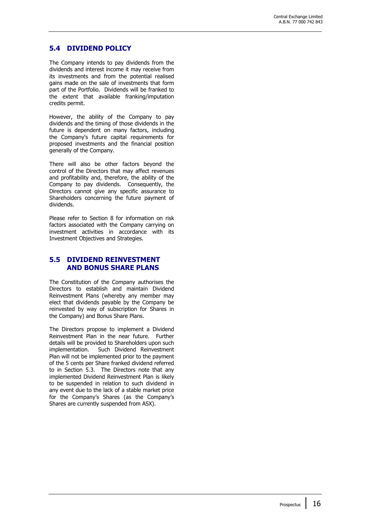#### **5.4 DIVIDEND POLICY**

The Company intends to pay dividends from the dividends and interest income it may receive from its investments and from the potential realised gains made on the sale of investments that form part of the Portfolio. Dividends will be franked to the extent that available franking/imputation credits permit.

However, the ability of the Company to pay dividends and the timing of those dividends in the future is dependent on many factors, including the Company's future capital requirements for proposed investments and the financial position generally of the Company.

There will also be other factors beyond the control of the Directors that may affect revenues and profitability and, therefore, the ability of the Company to pay dividends. Consequently, the Directors cannot give any specific assurance to Shareholders concerning the future payment of dividends.

Please refer to Section 8 for information on risk factors associated with the Company carrying on investment activities in accordance with its Investment Objectives and Strategies.

#### **5.5 DIVIDEND REINVESTMENT AND BONUS SHARE PLANS**

The Constitution of the Company authorises the Directors to establish and maintain Dividend Reinvestment Plans (whereby any member may elect that dividends payable by the Company be reinvested by way of subscription for Shares in the Company) and Bonus Share Plans.

The Directors propose to implement a Dividend Reinvestment Plan in the near future. Further details will be provided to Shareholders upon such implementation. Such Dividend Reinvestment Plan will not be implemented prior to the payment of the 5 cents per Share franked dividend referred to in Section 5.3. The Directors note that any implemented Dividend Reinvestment Plan is likely to be suspended in relation to such dividend in any event due to the lack of a stable market price for the Company's Shares (as the Company's Shares are currently suspended from ASX).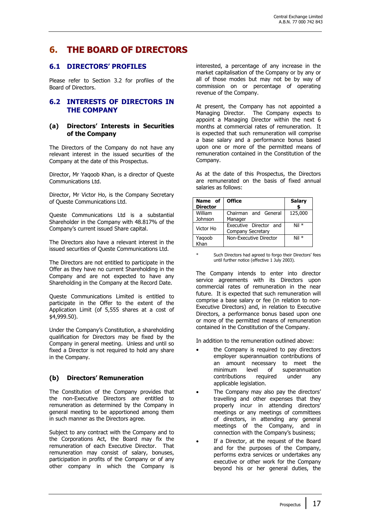### **6. THE BOARD OF DIRECTORS**

#### **6.1 DIRECTORS' PROFILES**

Please refer to Section 3.2 for profiles of the Board of Directors.

#### **6.2 INTERESTS OF DIRECTORS IN THE COMPANY**

#### **(a) Directors' Interests in Securities of the Company**

The Directors of the Company do not have any relevant interest in the issued securities of the Company at the date of this Prospectus.

Director, Mr Yaqoob Khan, is a director of Queste Communications Ltd.

Director, Mr Victor Ho, is the Company Secretary of Queste Communications Ltd.

Queste Communications Ltd is a substantial Shareholder in the Company with 48.817% of the Company's current issued Share capital.

The Directors also have a relevant interest in the issued securities of Queste Communications Ltd.

The Directors are not entitled to participate in the Offer as they have no current Shareholding in the Company and are not expected to have any Shareholding in the Company at the Record Date.

Queste Communications Limited is entitled to participate in the Offer to the extent of the Application Limit (of 5,555 shares at a cost of \$4,999.50).

Under the Company's Constitution, a shareholding qualification for Directors may be fixed by the Company in general meeting. Unless and until so fixed a Director is not required to hold any share in the Company.

#### **(b) Directors' Remuneration**

The Constitution of the Company provides that the non-Executive Directors are entitled to remuneration as determined by the Company in general meeting to be apportioned among them in such manner as the Directors agree.

Subject to any contract with the Company and to the Corporations Act, the Board may fix the remuneration of each Executive Director. That remuneration may consist of salary, bonuses, participation in profits of the Company or of any other company in which the Company is

interested, a percentage of any increase in the market capitalisation of the Company or by any or all of those modes but may not be by way of commission on or percentage of operating revenue of the Company.

At present, the Company has not appointed a Managing Director. The Company expects to appoint a Managing Director within the next 6 months at commercial rates of remuneration. It is expected that such remuneration will comprise a base salary and a performance bonus based upon one or more of the permitted means of remuneration contained in the Constitution of the Company.

As at the date of this Prospectus, the Directors are remunerated on the basis of fixed annual salaries as follows:

| Name of<br><b>Director</b> | <b>Office</b>                               | <b>Salary</b> |
|----------------------------|---------------------------------------------|---------------|
| William<br>Johnson         | Chairman and General<br>Manager             | 125,000       |
| Victor Ho                  | Executive Director and<br>Company Secretary | $Nil *$       |
| Yaqoob<br>Khan             | Non-Executive Director                      | $Nil *$       |

Such Directors had agreed to forgo their Directors' fees until further notice (effective 1 July 2003).

The Company intends to enter into director service agreements with its Directors upon commercial rates of remuneration in the near future. It is expected that such remuneration will comprise a base salary or fee (in relation to non-Executive Directors) and, in relation to Executive Directors, a performance bonus based upon one or more of the permitted means of remuneration contained in the Constitution of the Company.

In addition to the remuneration outlined above:

- the Company is required to pay directors employer superannuation contributions of an amount necessary to meet the minimum level of superannuation contributions required under any applicable legislation.
- The Company may also pay the directors' travelling and other expenses that they properly incur in attending directors' meetings or any meetings of committees of directors, in attending any general meetings of the Company, and in connection with the Company's business;
- If a Director, at the request of the Board and for the purposes of the Company, performs extra services or undertakes any executive or other work for the Company beyond his or her general duties, the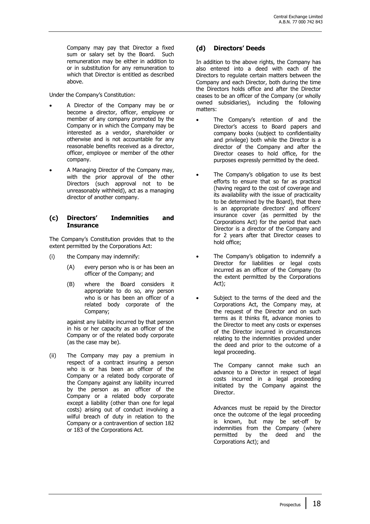Company may pay that Director a fixed sum or salary set by the Board. Such remuneration may be either in addition to or in substitution for any remuneration to which that Director is entitled as described above.

Under the Company's Constitution:

- A Director of the Company may be or become a director, officer, employee or member of any company promoted by the Company or in which the Company may be interested as a vendor, shareholder or otherwise and is not accountable for any reasonable benefits received as a director, officer, employee or member of the other company.
- A Managing Director of the Company may, with the prior approval of the other Directors (such approval not to be unreasonably withheld), act as a managing director of another company.

#### **(c) Directors' Indemnities and Insurance**

The Company's Constitution provides that to the extent permitted by the Corporations Act:

- (i) the Company may indemnify:
	- (A) every person who is or has been an officer of the Company; and
	- (B) where the Board considers it appropriate to do so, any person who is or has been an officer of a related body corporate of the Company;

against any liability incurred by that person in his or her capacity as an officer of the Company or of the related body corporate (as the case may be).

(ii) The Company may pay a premium in respect of a contract insuring a person who is or has been an officer of the Company or a related body corporate of the Company against any liability incurred by the person as an officer of the Company or a related body corporate except a liability (other than one for legal costs) arising out of conduct involving a wilful breach of duty in relation to the Company or a contravention of section 182 or 183 of the Corporations Act.

#### **(d) Directors' Deeds**

In addition to the above rights, the Company has also entered into a deed with each of the Directors to regulate certain matters between the Company and each Director, both during the time the Directors holds office and after the Director ceases to be an officer of the Company (or wholly owned subsidiaries), including the following matters:

- The Company's retention of and the Director's access to Board papers and company books (subject to confidentiality and privilege) both while the Director is a director of the Company and after the Director ceases to hold office, for the purposes expressly permitted by the deed.
- The Company's obligation to use its best efforts to ensure that so far as practical (having regard to the cost of coverage and its availability with the issue of practicality to be determined by the Board), that there is an appropriate directors' and officers' insurance cover (as permitted by the Corporations Act) for the period that each Director is a director of the Company and for 2 years after that Director ceases to hold office;
- The Company's obligation to indemnify a Director for liabilities or legal costs incurred as an officer of the Company (to the extent permitted by the Corporations Act);
- Subject to the terms of the deed and the Corporations Act, the Company may, at the request of the Director and on such terms as it thinks fit, advance monies to the Director to meet any costs or expenses of the Director incurred in circumstances relating to the indemnities provided under the deed and prior to the outcome of a legal proceeding.

The Company cannot make such an advance to a Director in respect of legal costs incurred in a legal proceeding initiated by the Company against the Director.

Advances must be repaid by the Director once the outcome of the legal proceeding is known, but may be set-off by indemnities from the Company (where permitted by the deed and the Corporations Act); and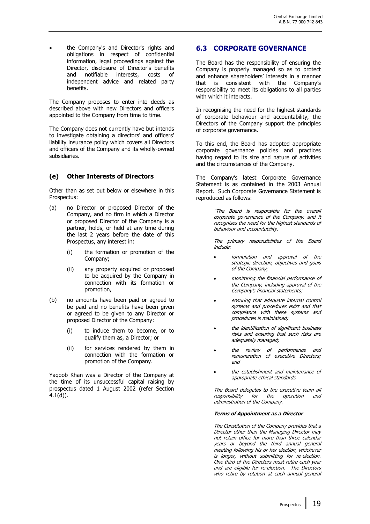• the Company's and Director's rights and obligations in respect of confidential information, legal proceedings against the Director, disclosure of Director's benefits and notifiable interests, costs of independent advice and related party benefits.

The Company proposes to enter into deeds as described above with new Directors and officers appointed to the Company from time to time.

The Company does not currently have but intends to investigate obtaining a directors' and officers' liability insurance policy which covers all Directors and officers of the Company and its wholly-owned subsidiaries.

#### **(e) Other Interests of Directors**

Other than as set out below or elsewhere in this Prospectus:

- (a) no Director or proposed Director of the Company, and no firm in which a Director or proposed Director of the Company is a partner, holds, or held at any time during the last 2 years before the date of this Prospectus, any interest in:
	- (i) the formation or promotion of the Company;
	- (ii) any property acquired or proposed to be acquired by the Company in connection with its formation or promotion,
- (b) no amounts have been paid or agreed to be paid and no benefits have been given or agreed to be given to any Director or proposed Director of the Company:
	- (i) to induce them to become, or to qualify them as, a Director; or
	- (ii) for services rendered by them in connection with the formation or promotion of the Company.

Yaqoob Khan was a Director of the Company at the time of its unsuccessful capital raising by prospectus dated 1 August 2002 (refer Section 4.1(d)).

#### **6.3 CORPORATE GOVERNANCE**

The Board has the responsibility of ensuring the Company is properly managed so as to protect and enhance shareholders' interests in a manner that is consistent with the Company's responsibility to meet its obligations to all parties with which it interacts.

In recognising the need for the highest standards of corporate behaviour and accountability, the Directors of the Company support the principles of corporate governance.

To this end, the Board has adopted appropriate corporate governance policies and practices having regard to its size and nature of activities and the circumstances of the Company.

The Company's latest Corporate Governance Statement is as contained in the 2003 Annual Report. Such Corporate Governance Statement is reproduced as follows:

> "The Board is responsible for the overall corporate governance of the Company, and it recognises the need for the highest standards of behaviour and accountability.

> The primary responsibilities of the Board include:

- formulation and approval of the strategic direction, objectives and goals of the Company;
- monitoring the financial performance of the Company, including approval of the Company's financial statements;
- ensuring that adequate internal control systems and procedures exist and that compliance with these systems and procedures is maintained;
- the identification of significant business risks and ensuring that such risks are adequately managed;
- the review of performance and remuneration of executive Directors; and
- the establishment and maintenance of appropriate ethical standards.

The Board delegates to the executive team all responsibility for the operation and administration of the Company.

#### **Terms of Appointment as a Director**

The Constitution of the Company provides that a Director other than the Managing Director may not retain office for more than three calendar years or beyond the third annual general meeting following his or her election, whichever is longer, without submitting for re-election. One third of the Directors must retire each year and are eligible for re-election. The Directors who retire by rotation at each annual general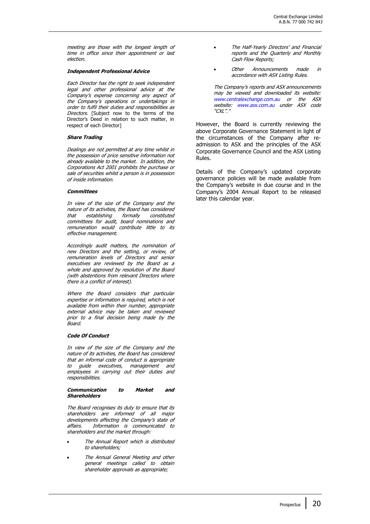meeting are those with the longest length of time in office since their appointment or last election.

#### **Independent Professional Advice**

Each Director has the right to seek independent legal and other professional advice at the Company's expense concerning any aspect of the Company's operations or undertakings in order to fulfil their duties and responsibilities as Directors. [Subject now to the terms of the Director's Deed in relation to such matter, in respect of each Director]

#### **Share Trading**

Dealings are not permitted at any time whilst in the possession of price sensitive information not already available to the market. In addition, the Corporations Act 2001 prohibits the purchase or sale of securities whilst a person is in possession of inside information.

#### **Committees**

In view of the size of the Company and the nature of its activities, the Board has considered that establishing formally constituted committees for audit, board nominations and remuneration would contribute little to its effective management.

Accordingly audit matters, the nomination of new Directors and the setting, or review, of remuneration levels of Directors and senior executives are reviewed by the Board as a whole and approved by resolution of the Board (with abstentions from relevant Directors where there is a conflict of interest).

Where the Board considers that particular expertise or information is required, which is not available from within their number, appropriate external advice may be taken and reviewed prior to a final decision being made by the Board.

#### **Code Of Conduct**

In view of the size of the Company and the nature of its activities, the Board has considered that an informal code of conduct is appropriate to guide executives, management and employees in carrying out their duties and responsibilities.

#### **Communication to Market and Shareholders**

The Board recognises its duty to ensure that its shareholders are informed of all major developments affecting the Company's state of affairs. Information is communicated to shareholders and the market through:

- The Annual Report which is distributed to shareholders;
- The Annual General Meeting and other general meetings called to obtain shareholder approvals as appropriate;
- The Half-Yearly Directors' and Financial reports and the Quarterly and Monthly Cash Flow Reports;
- Other Announcements made in accordance with ASX Listing Rules.

The Company's reports and ASX announcements may be viewed and downloaded its website: www.centralexchange.com.au or the ASX website: www.asx.com.au under ASX code "CXL"."

However, the Board is currently reviewing the above Corporate Governance Statement in light of the circumstances of the Company after readmission to ASX and the principles of the ASX Corporate Governance Council and the ASX Listing Rules.

Details of the Company's updated corporate governance policies will be made available from the Company's website in due course and in the Company's 2004 Annual Report to be released later this calendar year.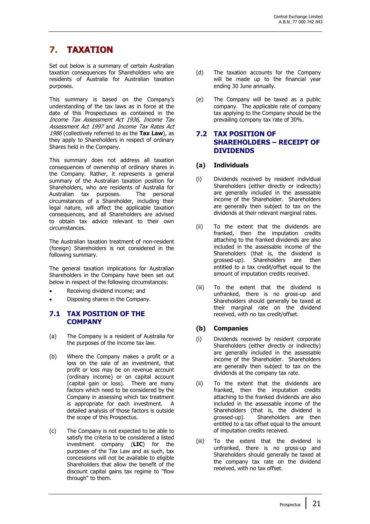### **7. TAXATION**

Set out below is a summary of certain Australian taxation consequences for Shareholders who are residents of Australia for Australian taxation purposes.

This summary is based on the Company's understanding of the tax laws as in force at the date of this Prospectuses as contained in the Income Tax Assessment Act 1936, Income Tax Assessment Act 1997 and Income Tax Rates Act 1986 (collectively referred to as the **Tax Law**), as they apply to Shareholders in respect of ordinary Shares held in the Company.

This summary does not address all taxation consequences of ownership of ordinary shares in the Company. Rather, it represents a general summary of the Australian taxation position for Shareholders, who are residents of Australia for Australian tax purposes. The personal circumstances of a Shareholder, including their legal nature, will affect the applicable taxation consequences, and all Shareholders are advised to obtain tax advice relevant to their own circumstances.

The Australian taxation treatment of non-resident (foreign) Shareholders is not considered in the following summary.

The general taxation implications for Australian Shareholders in the Company have been set out below in respect of the following circumstances:

- Receiving dividend income; and
- Disposing shares in the Company.

#### **7.1 TAX POSITION OF THE COMPANY**

- (a) The Company is a resident of Australia for the purposes of the income tax law.
- (b) Where the Company makes a profit or a loss on the sale of an investment, that profit or loss may be on revenue account (ordinary income) or on capital account (capital gain or loss). There are many factors which need to be considered by the Company in assessing which tax treatment is appropriate for each investment. A detailed analysis of those factors is outside the scope of this Prospectus.
- (c) The Company is not expected to be able to satisfy the criteria to be considered a listed investment company (**LIC**) for the purposes of the Tax Law and as such, tax concessions will not be available to eligible Shareholders that allow the benefit of the discount capital gains tax regime to "flow through" to them.
- (d) The taxation accounts for the Company will be made up to the financial year ending 30 June annually.
- (e) The Company will be taxed as a public company. The applicable rate of company tax applying to the Company should be the prevailing company tax rate of 30%.

#### **7.2 TAX POSITION OF SHAREHOLDERS – RECEIPT OF DIVIDENDS**

#### **(a) Individuals**

- (i) Dividends received by resident individual Shareholders (either directly or indirectly) are generally included in the assessable income of the Shareholder. Shareholders are generally then subject to tax on the dividends at their relevant marginal rates.
- (ii) To the extent that the dividends are franked, then the imputation credits attaching to the franked dividends are also included in the assessable income of the Shareholders (that is, the dividend is grossed-up). Shareholders are then entitled to a tax credit/offset equal to the amount of imputation credits received.
- (iii) To the extent that the dividend is unfranked, there is no gross-up and Shareholders should generally be taxed at their marginal rate on the dividend received, with no tax credit/offset.

#### **(b) Companies**

- (i) Dividends received by resident corporate Shareholders (either directly or indirectly) are generally included in the assessable income of the Shareholder. Shareholders are generally then subject to tax on the dividends at the company tax rate.
- (ii) To the extent that the dividends are franked, then the imputation credits attaching to the franked dividends are also included in the assessable income of the Shareholders (that is, the dividend is grossed-up). Shareholders are then entitled to a tax offset equal to the amount of imputation credits received.
- (iii) To the extent that the dividend is unfranked, there is no gross-up and Shareholders should generally be taxed at the company tax rate on the dividend received, with no tax offset.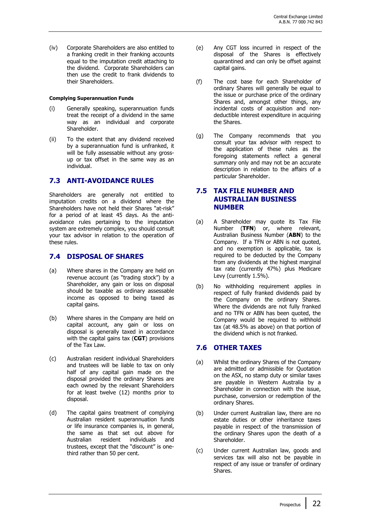(iv) Corporate Shareholders are also entitled to a franking credit in their franking accounts equal to the imputation credit attaching to the dividend. Corporate Shareholders can then use the credit to frank dividends to their Shareholders.

#### **Complying Superannuation Funds**

- (i) Generally speaking, superannuation funds treat the receipt of a dividend in the same way as an individual and corporate Shareholder.
- (ii) To the extent that any dividend received by a superannuation fund is unfranked, it will be fully assessable without any grossup or tax offset in the same way as an individual.

#### **7.3 ANTI-AVOIDANCE RULES**

Shareholders are generally not entitled to imputation credits on a dividend where the Shareholders have not held their Shares "at-risk" for a period of at least 45 days. As the antiavoidance rules pertaining to the imputation system are extremely complex, you should consult your tax advisor in relation to the operation of these rules.

#### **7.4 DISPOSAL OF SHARES**

- (a) Where shares in the Company are held on revenue account (as "trading stock") by a Shareholder, any gain or loss on disposal should be taxable as ordinary assessable income as opposed to being taxed as capital gains.
- (b) Where shares in the Company are held on capital account, any gain or loss on disposal is generally taxed in accordance with the capital gains tax (**CGT**) provisions of the Tax Law.
- (c) Australian resident individual Shareholders and trustees will be liable to tax on only half of any capital gain made on the disposal provided the ordinary Shares are each owned by the relevant Shareholders for at least twelve (12) months prior to disposal.
- (d) The capital gains treatment of complying Australian resident superannuation funds or life insurance companies is, in general, the same as that set out above for Australian resident individuals and trustees, except that the "discount" is onethird rather than 50 per cent.
- (e) Any CGT loss incurred in respect of the disposal of the Shares is effectively quarantined and can only be offset against capital gains.
- (f) The cost base for each Shareholder of ordinary Shares will generally be equal to the issue or purchase price of the ordinary Shares and, amongst other things, any incidental costs of acquisition and nondeductible interest expenditure in acquiring the Shares.
- (g) The Company recommends that you consult your tax advisor with respect to the application of these rules as the foregoing statements reflect a general summary only and may not be an accurate description in relation to the affairs of a particular Shareholder.

#### **7.5 TAX FILE NUMBER AND AUSTRALIAN BUSINESS NUMBER**

- (a) A Shareholder may quote its Tax File Number (**TFN**) or, where relevant, Australian Business Number (**ABN**) to the Company. If a TFN or ABN is not quoted, and no exemption is applicable, tax is required to be deducted by the Company from any dividends at the highest marginal tax rate (currently 47%) plus Medicare Levy (currently 1.5%).
- (b) No withholding requirement applies in respect of fully franked dividends paid by the Company on the ordinary Shares. Where the dividends are not fully franked and no TFN or ABN has been quoted, the Company would be required to withhold tax (at 48.5% as above) on that portion of the dividend which is not franked.

#### **7.6 OTHER TAXES**

- (a) Whilst the ordinary Shares of the Company are admitted or admissible for Quotation on the ASX, no stamp duty or similar taxes are payable in Western Australia by a Shareholder in connection with the issue, purchase, conversion or redemption of the ordinary Shares.
- (b) Under current Australian law, there are no estate duties or other inheritance taxes payable in respect of the transmission of the ordinary Shares upon the death of a Shareholder.
- (c) Under current Australian law, goods and services tax will also not be payable in respect of any issue or transfer of ordinary Shares.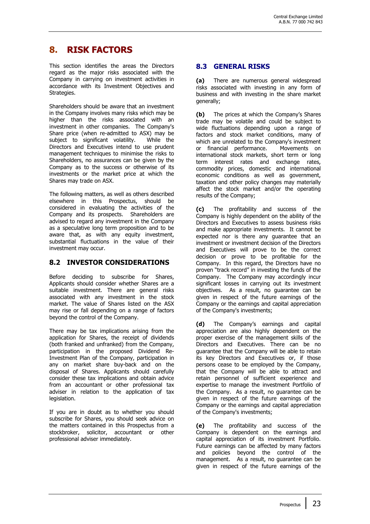### **8. RISK FACTORS**

This section identifies the areas the Directors regard as the major risks associated with the Company in carrying on investment activities in accordance with its Investment Objectives and Strategies.

Shareholders should be aware that an investment in the Company involves many risks which may be higher than the risks associated with an investment in other companies. The Company's Share price (when re-admitted to ASX) may be subject to significant volatility. While the Directors and Executives intend to use prudent management techniques to minimise the risks to Shareholders, no assurances can be given by the Company as to the success or otherwise of its investments or the market price at which the Shares may trade on ASX.

The following matters, as well as others described elsewhere in this Prospectus, should be considered in evaluating the activities of the Company and its prospects. Shareholders are advised to regard any investment in the Company as a speculative long term proposition and to be aware that, as with any equity investment, substantial fluctuations in the value of their investment may occur.

#### **8.2 INVESTOR CONSIDERATIONS**

Before deciding to subscribe for Shares, Applicants should consider whether Shares are a suitable investment. There are general risks associated with any investment in the stock market. The value of Shares listed on the ASX may rise or fall depending on a range of factors beyond the control of the Company.

There may be tax implications arising from the application for Shares, the receipt of dividends (both franked and unfranked) from the Company, participation in the proposed Dividend Re-Investment Plan of the Company, participation in any on market share buy-back and on the disposal of Shares. Applicants should carefully consider these tax implications and obtain advice from an accountant or other professional tax adviser in relation to the application of tax legislation.

If you are in doubt as to whether you should subscribe for Shares, you should seek advice on the matters contained in this Prospectus from a stockbroker, solicitor, accountant or other professional adviser immediately.

#### **8.3 GENERAL RISKS**

**(a)** There are numerous general widespread risks associated with investing in any form of business and with investing in the share market generally;

**(b)** The prices at which the Company's Shares trade may be volatile and could be subject to wide fluctuations depending upon a range of factors and stock market conditions, many of which are unrelated to the Company's investment or financial performance. Movements on international stock markets, short term or long term interest rates and exchange rates, commodity prices, domestic and international economic conditions as well as government, taxation and other policy changes may materially affect the stock market and/or the operating results of the Company;

**(c)** The profitability and success of the Company is highly dependent on the ability of the Directors and Executives to assess business risks and make appropriate investments. It cannot be expected nor is there any guarantee that an investment or investment decision of the Directors and Executives will prove to be the correct decision or prove to be profitable for the Company. In this regard, the Directors have no proven "track record" in investing the funds of the Company. The Company may accordingly incur significant losses in carrying out its investment objectives. As a result, no guarantee can be given in respect of the future earnings of the Company or the earnings and capital appreciation of the Company's investments;

**(d)** The Company's earnings and capital appreciation are also highly dependent on the proper exercise of the management skills of the Directors and Executives. There can be no guarantee that the Company will be able to retain its key Directors and Executives or, if those persons cease to be employed by the Company, that the Company will be able to attract and retain personnel of sufficient experience and expertise to manage the investment Portfolio of the Company. As a result, no guarantee can be given in respect of the future earnings of the Company or the earnings and capital appreciation of the Company's investments;

**(e)** The profitability and success of the Company is dependent on the earnings and capital appreciation of its investment Portfolio. Future earnings can be affected by many factors and policies beyond the control of the management. As a result, no guarantee can be given in respect of the future earnings of the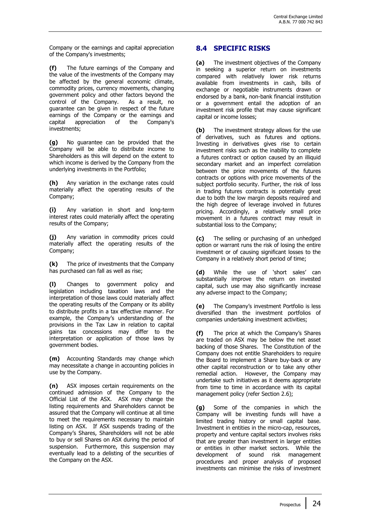Company or the earnings and capital appreciation of the Company's investments;

**(f)** The future earnings of the Company and the value of the investments of the Company may be affected by the general economic climate, commodity prices, currency movements, changing government policy and other factors beyond the control of the Company. As a result, no guarantee can be given in respect of the future earnings of the Company or the earnings and capital appreciation of the Company's investments;

**(g)** No guarantee can be provided that the Company will be able to distribute income to Shareholders as this will depend on the extent to which income is derived by the Company from the underlying investments in the Portfolio;

**(h)** Any variation in the exchange rates could materially affect the operating results of the Company;

**(i)** Any variation in short and long-term interest rates could materially affect the operating results of the Company;

**(j)** Any variation in commodity prices could materially affect the operating results of the Company;

**(k)** The price of investments that the Company has purchased can fall as well as rise;

**(l)** Changes to government policy and legislation including taxation laws and the interpretation of those laws could materially affect the operating results of the Company or its ability to distribute profits in a tax effective manner. For example, the Company's understanding of the provisions in the Tax Law in relation to capital gains tax concessions may differ to the interpretation or application of those laws by government bodies.

**(m)** Accounting Standards may change which may necessitate a change in accounting policies in use by the Company.

**(n)** ASX imposes certain requirements on the continued admission of the Company to the Official List of the ASX. ASX may change the listing requirements and Shareholders cannot be assured that the Company will continue at all time to meet the requirements necessary to maintain listing on ASX. If ASX suspends trading of the Company's Shares, Shareholders will not be able to buy or sell Shares on ASX during the period of suspension. Furthermore, this suspension may eventually lead to a delisting of the securities of the Company on the ASX.

#### **8.4 SPECIFIC RISKS**

**(a)** The investment objectives of the Company in seeking a superior return on investments compared with relatively lower risk returns available from investments in cash, bills of exchange or negotiable instruments drawn or endorsed by a bank, non-bank financial institution or a government entail the adoption of an investment risk profile that may cause significant capital or income losses;

**(b)** The investment strategy allows for the use of derivatives, such as futures and options. Investing in derivatives gives rise to certain investment risks such as the inability to complete a futures contract or option caused by an illiquid secondary market and an imperfect correlation between the price movements of the futures contracts or options with price movements of the subject portfolio security. Further, the risk of loss in trading futures contracts is potentially great due to both the low margin deposits required and the high degree of leverage involved in futures pricing. Accordingly, a relatively small price movement in a futures contract may result in substantial loss to the Company;

**(c)** The selling or purchasing of an unhedged option or warrant runs the risk of losing the entire investment or of causing significant losses to the Company in a relatively short period of time;

**(d)** While the use of 'short sales' can substantially improve the return on invested capital, such use may also significantly increase any adverse impact to the Company;

**(e)** The Company's investment Portfolio is less diversified than the investment portfolios of companies undertaking investment activities;

**(f)** The price at which the Company's Shares are traded on ASX may be below the net asset backing of those Shares. The Constitution of the Company does not entitle Shareholders to require the Board to implement a Share buy-back or any other capital reconstruction or to take any other remedial action. However, the Company may undertake such initiatives as it deems appropriate from time to time in accordance with its capital management policy (refer Section 2.6);

**(g)** Some of the companies in which the Company will be investing funds will have a limited trading history or small capital base. Investment in entities in the micro-cap, resources, property and venture capital sectors involves risks that are greater than investment in larger entities or entities in other market sectors. While the development of sound risk management procedures and proper analysis of proposed investments can minimise the risks of investment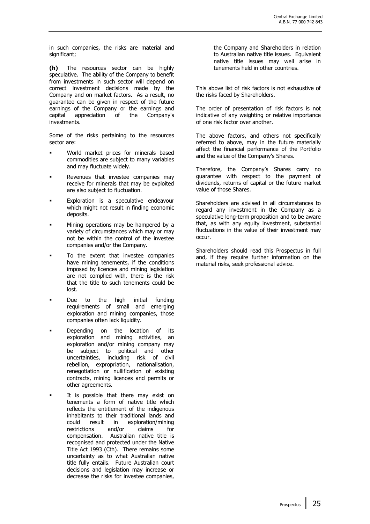in such companies, the risks are material and significant;

**(h)** The resources sector can be highly speculative. The ability of the Company to benefit from investments in such sector will depend on correct investment decisions made by the Company and on market factors. As a result, no guarantee can be given in respect of the future earnings of the Company or the earnings and capital appreciation of the Company's investments.

Some of the risks pertaining to the resources sector are:

- World market prices for minerals based commodities are subject to many variables and may fluctuate widely.
- Revenues that investee companies may receive for minerals that may be exploited are also subject to fluctuation.
- Exploration is a speculative endeavour which might not result in finding economic deposits.
- Mining operations may be hampered by a variety of circumstances which may or may not be within the control of the investee companies and/or the Company.
- To the extent that investee companies have mining tenements, if the conditions imposed by licences and mining legislation are not complied with, there is the risk that the title to such tenements could be lost.
- Due to the high initial funding requirements of small and emerging exploration and mining companies, those companies often lack liquidity.
- Depending on the location of its exploration and mining activities, an exploration and/or mining company may be subject to political and other uncertainties, including risk of civil rebellion, expropriation, nationalisation, renegotiation or nullification of existing contracts, mining licences and permits or other agreements.
- It is possible that there may exist on tenements a form of native title which reflects the entitlement of the indigenous inhabitants to their traditional lands and could result in exploration/mining restrictions and/or claims for compensation. Australian native title is recognised and protected under the Native Title Act 1993 (Cth). There remains some uncertainty as to what Australian native title fully entails. Future Australian court decisions and legislation may increase or decrease the risks for investee companies,

the Company and Shareholders in relation to Australian native title issues. Equivalent native title issues may well arise in tenements held in other countries.

This above list of risk factors is not exhaustive of the risks faced by Shareholders.

The order of presentation of risk factors is not indicative of any weighting or relative importance of one risk factor over another.

The above factors, and others not specifically referred to above, may in the future materially affect the financial performance of the Portfolio and the value of the Company's Shares.

Therefore, the Company's Shares carry no guarantee with respect to the payment of dividends, returns of capital or the future market value of those Shares.

Shareholders are advised in all circumstances to regard any investment in the Company as a speculative long-term proposition and to be aware that, as with any equity investment, substantial fluctuations in the value of their investment may occur.

Shareholders should read this Prospectus in full and, if they require further information on the material risks, seek professional advice.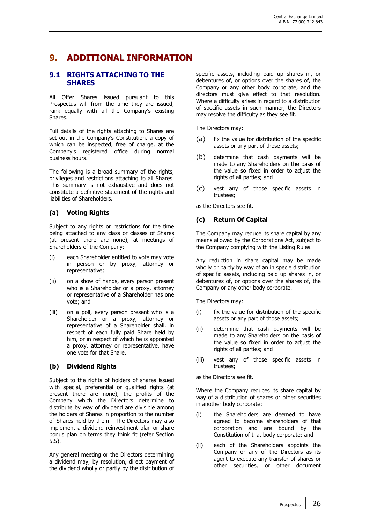### **9. ADDITIONAL INFORMATION**

#### **9.1 RIGHTS ATTACHING TO THE SHARES**

All Offer Shares issued pursuant to this Prospectus will from the time they are issued, rank equally with all the Company's existing Shares.

Full details of the rights attaching to Shares are set out in the Company's Constitution, a copy of which can be inspected, free of charge, at the Company's registered office during normal business hours.

The following is a broad summary of the rights, privileges and restrictions attaching to all Shares. This summary is not exhaustive and does not constitute a definitive statement of the rights and liabilities of Shareholders.

#### **(a) Voting Rights**

Subject to any rights or restrictions for the time being attached to any class or classes of Shares (at present there are none), at meetings of Shareholders of the Company:

- (i) each Shareholder entitled to vote may vote in person or by proxy, attorney or representative;
- (ii) on a show of hands, every person present who is a Shareholder or a proxy, attorney or representative of a Shareholder has one vote; and
- (iii) on a poll, every person present who is a Shareholder or a proxy, attorney or representative of a Shareholder shall, in respect of each fully paid Share held by him, or in respect of which he is appointed a proxy, attorney or representative, have one vote for that Share.

#### **(b) Dividend Rights**

Subject to the rights of holders of shares issued with special, preferential or qualified rights (at present there are none), the profits of the Company which the Directors determine to distribute by way of dividend are divisible among the holders of Shares in proportion to the number of Shares held by them. The Directors may also implement a dividend reinvestment plan or share bonus plan on terms they think fit (refer Section 5.5).

Any general meeting or the Directors determining a dividend may, by resolution, direct payment of the dividend wholly or partly by the distribution of specific assets, including paid up shares in, or debentures of, or options over the shares of, the Company or any other body corporate, and the directors must give effect to that resolution. Where a difficulty arises in regard to a distribution of specific assets in such manner, the Directors may resolve the difficulty as they see fit.

The Directors may:

- (a) fix the value for distribution of the specific assets or any part of those assets;
- (b) determine that cash payments will be made to any Shareholders on the basis of the value so fixed in order to adjust the rights of all parties; and
- (c) vest any of those specific assets in trustees;

as the Directors see fit.

#### **(c) Return Of Capital**

The Company may reduce its share capital by any means allowed by the Corporations Act, subject to the Company complying with the Listing Rules.

Any reduction in share capital may be made wholly or partly by way of an in specie distribution of specific assets, including paid up shares in, or debentures of, or options over the shares of, the Company or any other body corporate.

The Directors may:

- (i) fix the value for distribution of the specific assets or any part of those assets;
- (ii) determine that cash payments will be made to any Shareholders on the basis of the value so fixed in order to adjust the rights of all parties; and
- (iii) vest any of those specific assets in trustees;

as the Directors see fit.

Where the Company reduces its share capital by way of a distribution of shares or other securities in another body corporate:

- (i) the Shareholders are deemed to have agreed to become shareholders of that corporation and are bound by the Constitution of that body corporate; and
- (ii) each of the Shareholders appoints the Company or any of the Directors as its agent to execute any transfer of shares or other securities, or other document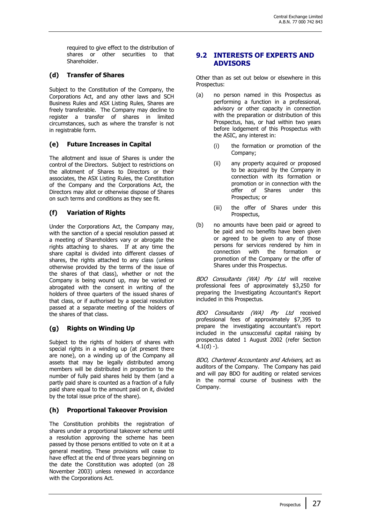required to give effect to the distribution of shares or other securities to that Shareholder.

#### **(d) Transfer of Shares**

Subject to the Constitution of the Company, the Corporations Act, and any other laws and SCH Business Rules and ASX Listing Rules, Shares are freely transferable. The Company may decline to register a transfer of shares in limited circumstances, such as where the transfer is not in registrable form.

#### **(e) Future Increases in Capital**

The allotment and issue of Shares is under the control of the Directors. Subject to restrictions on the allotment of Shares to Directors or their associates, the ASX Listing Rules, the Constitution of the Company and the Corporations Act, the Directors may allot or otherwise dispose of Shares on such terms and conditions as they see fit.

#### **(f) Variation of Rights**

Under the Corporations Act, the Company may, with the sanction of a special resolution passed at a meeting of Shareholders vary or abrogate the rights attaching to shares. If at any time the share capital is divided into different classes of shares, the rights attached to any class (unless otherwise provided by the terms of the issue of the shares of that class), whether or not the Company is being wound up, may be varied or abrogated with the consent in writing of the holders of three quarters of the issued shares of that class, or if authorised by a special resolution passed at a separate meeting of the holders of the shares of that class.

#### **(g) Rights on Winding Up**

Subject to the rights of holders of shares with special rights in a winding up (at present there are none), on a winding up of the Company all assets that may be legally distributed among members will be distributed in proportion to the number of fully paid shares held by them (and a partly paid share is counted as a fraction of a fully paid share equal to the amount paid on it, divided by the total issue price of the share).

#### **(h) Proportional Takeover Provision**

The Constitution prohibits the registration of shares under a proportional takeover scheme until a resolution approving the scheme has been passed by those persons entitled to vote on it at a general meeting. These provisions will cease to have effect at the end of three years beginning on the date the Constitution was adopted (on 28 November 2003) unless renewed in accordance with the Corporations Act.

#### **9.2 INTERESTS OF EXPERTS AND ADVISORS**

Other than as set out below or elsewhere in this Prospectus:

- (a) no person named in this Prospectus as performing a function in a professional, advisory or other capacity in connection with the preparation or distribution of this Prospectus, has, or had within two years before lodgement of this Prospectus with the ASIC, any interest in:
	- (i) the formation or promotion of the Company;
	- (ii) any property acquired or proposed to be acquired by the Company in connection with its formation or promotion or in connection with the offer of Shares under this Prospectus; or
	- (iii) the offer of Shares under this Prospectus,
- (b) no amounts have been paid or agreed to be paid and no benefits have been given or agreed to be given to any of those persons for services rendered by him in connection with the formation or promotion of the Company or the offer of Shares under this Prospectus.

BDO Consultants (WA) Pty Ltd will receive professional fees of approximately \$3,250 for preparing the Investigating Accountant's Report included in this Prospectus.

BDO Consultants (WA) Pty Ltd received professional fees of approximately \$7,395 to prepare the investigating accountant's report included in the unsuccessful capital raising by prospectus dated 1 August 2002 (refer Section  $4.1(d) -$ ).

BDO, Chartered Accountants and Advisers, act as auditors of the Company. The Company has paid and will pay BDO for auditing or related services in the normal course of business with the Company.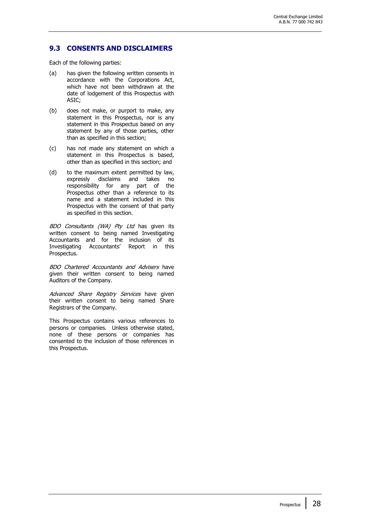#### **9.3 CONSENTS AND DISCLAIMERS**

Each of the following parties:

- (a) has given the following written consents in accordance with the Corporations Act, which have not been withdrawn at the date of lodgement of this Prospectus with ASIC;
- (b) does not make, or purport to make, any statement in this Prospectus, nor is any statement in this Prospectus based on any statement by any of those parties, other than as specified in this section;
- (c) has not made any statement on which a statement in this Prospectus is based, other than as specified in this section; and
- (d) to the maximum extent permitted by law, expressly disclaims and takes no responsibility for any part of the Prospectus other than a reference to its name and a statement included in this Prospectus with the consent of that party as specified in this section.

BDO Consultants (WA) Pty Ltd has given its written consent to being named Investigating Accountants and for the inclusion of its Investigating Accountants' Report in this Prospectus.

BDO Chartered Accountants and Advisers have given their written consent to being named Auditors of the Company.

Advanced Share Registry Services have given their written consent to being named Share Registrars of the Company.

This Prospectus contains various references to persons or companies. Unless otherwise stated, none of these persons or companies has consented to the inclusion of those references in this Prospectus.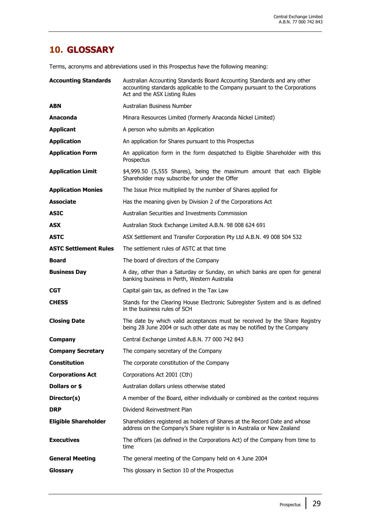### **10. GLOSSARY**

Terms, acronyms and abbreviations used in this Prospectus have the following meaning:

| <b>Accounting Standards</b>  | Australian Accounting Standards Board Accounting Standards and any other<br>accounting standards applicable to the Company pursuant to the Corporations<br>Act and the ASX Listing Rules |
|------------------------------|------------------------------------------------------------------------------------------------------------------------------------------------------------------------------------------|
| <b>ABN</b>                   | Australian Business Number                                                                                                                                                               |
| Anaconda                     | Minara Resources Limited (formerly Anaconda Nickel Limited)                                                                                                                              |
| <b>Applicant</b>             | A person who submits an Application                                                                                                                                                      |
| <b>Application</b>           | An application for Shares pursuant to this Prospectus                                                                                                                                    |
| <b>Application Form</b>      | An application form in the form despatched to Eligible Shareholder with this<br>Prospectus                                                                                               |
| <b>Application Limit</b>     | \$4,999.50 (5,555 Shares), being the maximum amount that each Eligible<br>Shareholder may subscribe for under the Offer                                                                  |
| <b>Application Monies</b>    | The Issue Price multiplied by the number of Shares applied for                                                                                                                           |
| <b>Associate</b>             | Has the meaning given by Division 2 of the Corporations Act                                                                                                                              |
| <b>ASIC</b>                  | Australian Securities and Investments Commission                                                                                                                                         |
| <b>ASX</b>                   | Australian Stock Exchange Limited A.B.N. 98 008 624 691                                                                                                                                  |
| <b>ASTC</b>                  | ASX Settlement and Transfer Corporation Pty Ltd A.B.N. 49 008 504 532                                                                                                                    |
| <b>ASTC Settlement Rules</b> | The settlement rules of ASTC at that time                                                                                                                                                |
| Board                        | The board of directors of the Company                                                                                                                                                    |
| <b>Business Day</b>          | A day, other than a Saturday or Sunday, on which banks are open for general<br>banking business in Perth, Western Australia                                                              |
| <b>CGT</b>                   | Capital gain tax, as defined in the Tax Law                                                                                                                                              |
| <b>CHESS</b>                 | Stands for the Clearing House Electronic Subregister System and is as defined<br>in the business rules of SCH                                                                            |
| <b>Closing Date</b>          | The date by which valid acceptances must be received by the Share Registry<br>being 28 June 2004 or such other date as may be notified by the Company                                    |
| <b>Company</b>               | Central Exchange Limited A.B.N. 77 000 742 843                                                                                                                                           |
| <b>Company Secretary</b>     | The company secretary of the Company                                                                                                                                                     |
| Constitution                 | The corporate constitution of the Company                                                                                                                                                |
| <b>Corporations Act</b>      | Corporations Act 2001 (Cth)                                                                                                                                                              |
| Dollars or \$                | Australian dollars unless otherwise stated                                                                                                                                               |
| Director(s)                  | A member of the Board, either individually or combined as the context requires                                                                                                           |
| <b>DRP</b>                   | Dividend Reinvestment Plan                                                                                                                                                               |
| <b>Eligible Shareholder</b>  | Shareholders registered as holders of Shares at the Record Date and whose<br>address on the Company's Share register is in Australia or New Zealand                                      |
| <b>Executives</b>            | The officers (as defined in the Corporations Act) of the Company from time to<br>time                                                                                                    |
| <b>General Meeting</b>       | The general meeting of the Company held on 4 June 2004                                                                                                                                   |
| Glossary                     | This glossary in Section 10 of the Prospectus                                                                                                                                            |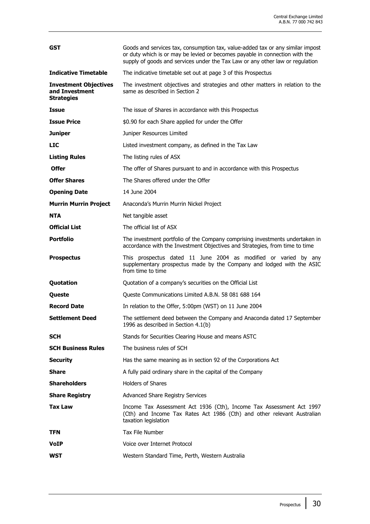| <b>GST</b>                                                          | Goods and services tax, consumption tax, value-added tax or any similar impost<br>or duty which is or may be levied or becomes payable in connection with the<br>supply of goods and services under the Tax Law or any other law or regulation |  |  |  |
|---------------------------------------------------------------------|------------------------------------------------------------------------------------------------------------------------------------------------------------------------------------------------------------------------------------------------|--|--|--|
| <b>Indicative Timetable</b>                                         | The indicative timetable set out at page 3 of this Prospectus                                                                                                                                                                                  |  |  |  |
| <b>Investment Objectives</b><br>and Investment<br><b>Strategies</b> | The investment objectives and strategies and other matters in relation to the<br>same as described in Section 2                                                                                                                                |  |  |  |
| <b>Issue</b>                                                        | The issue of Shares in accordance with this Prospectus                                                                                                                                                                                         |  |  |  |
| <b>Issue Price</b>                                                  | \$0.90 for each Share applied for under the Offer                                                                                                                                                                                              |  |  |  |
| <b>Juniper</b>                                                      | Juniper Resources Limited                                                                                                                                                                                                                      |  |  |  |
| <b>LIC</b>                                                          | Listed investment company, as defined in the Tax Law                                                                                                                                                                                           |  |  |  |
| <b>Listing Rules</b>                                                | The listing rules of ASX                                                                                                                                                                                                                       |  |  |  |
| <b>Offer</b>                                                        | The offer of Shares pursuant to and in accordance with this Prospectus                                                                                                                                                                         |  |  |  |
| <b>Offer Shares</b>                                                 | The Shares offered under the Offer                                                                                                                                                                                                             |  |  |  |
| <b>Opening Date</b>                                                 | 14 June 2004                                                                                                                                                                                                                                   |  |  |  |
| <b>Murrin Murrin Project</b>                                        | Anaconda's Murrin Murrin Nickel Project                                                                                                                                                                                                        |  |  |  |
| <b>NTA</b>                                                          | Net tangible asset                                                                                                                                                                                                                             |  |  |  |
| <b>Official List</b>                                                | The official list of ASX                                                                                                                                                                                                                       |  |  |  |
| <b>Portfolio</b>                                                    | The investment portfolio of the Company comprising investments undertaken in<br>accordance with the Investment Objectives and Strategies, from time to time                                                                                    |  |  |  |
|                                                                     |                                                                                                                                                                                                                                                |  |  |  |
| <b>Prospectus</b>                                                   | This prospectus dated 11 June 2004 as modified or varied by any<br>supplementary prospectus made by the Company and lodged with the ASIC<br>from time to time                                                                                  |  |  |  |
| Quotation                                                           | Quotation of a company's securities on the Official List                                                                                                                                                                                       |  |  |  |
| Queste                                                              | Queste Communications Limited A.B.N. 58 081 688 164                                                                                                                                                                                            |  |  |  |
| <b>Record Date</b>                                                  | In relation to the Offer, 5:00pm (WST) on 11 June 2004                                                                                                                                                                                         |  |  |  |
| Settlement Deed                                                     | The settlement deed between the Company and Anaconda dated 17 September<br>1996 as described in Section 4.1(b)                                                                                                                                 |  |  |  |
| <b>SCH</b>                                                          | Stands for Securities Clearing House and means ASTC                                                                                                                                                                                            |  |  |  |
| <b>SCH Business Rules</b>                                           | The business rules of SCH                                                                                                                                                                                                                      |  |  |  |
| <b>Security</b>                                                     | Has the same meaning as in section 92 of the Corporations Act                                                                                                                                                                                  |  |  |  |
| Share                                                               | A fully paid ordinary share in the capital of the Company                                                                                                                                                                                      |  |  |  |
| <b>Shareholders</b>                                                 | <b>Holders of Shares</b>                                                                                                                                                                                                                       |  |  |  |
| <b>Share Registry</b>                                               | <b>Advanced Share Registry Services</b>                                                                                                                                                                                                        |  |  |  |
| Tax Law                                                             | Income Tax Assessment Act 1936 (Cth), Income Tax Assessment Act 1997<br>(Cth) and Income Tax Rates Act 1986 (Cth) and other relevant Australian<br>taxation legislation                                                                        |  |  |  |
| <b>TFN</b>                                                          | <b>Tax File Number</b>                                                                                                                                                                                                                         |  |  |  |
| <b>VoIP</b>                                                         | Voice over Internet Protocol                                                                                                                                                                                                                   |  |  |  |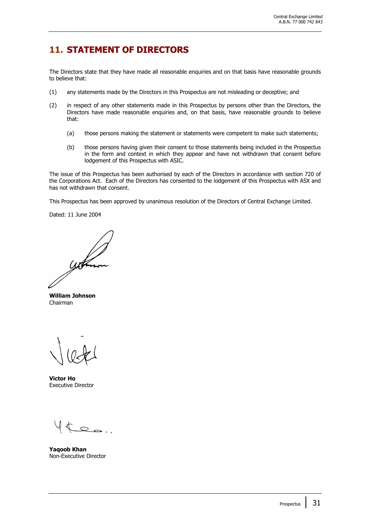### **11. STATEMENT OF DIRECTORS**

The Directors state that they have made all reasonable enquiries and on that basis have reasonable grounds to believe that:

- (1) any statements made by the Directors in this Prospectus are not misleading or deceptive; and
- (2) in respect of any other statements made in this Prospectus by persons other than the Directors, the Directors have made reasonable enquiries and, on that basis, have reasonable grounds to believe that:
	- (a) those persons making the statement or statements were competent to make such statements;
	- (b) those persons having given their consent to those statements being included in the Prospectus in the form and context in which they appear and have not withdrawn that consent before lodgement of this Prospectus with ASIC.

The issue of this Prospectus has been authorised by each of the Directors in accordance with section 720 of the Corporations Act. Each of the Directors has consented to the lodgement of this Prospectus with ASX and has not withdrawn that consent.

This Prospectus has been approved by unanimous resolution of the Directors of Central Exchange Limited.

Dated: 11 June 2004

**William Johnson** Chairman

**Victor Ho** Executive Director

 $2 - 1$ 

**Yaqoob Khan** Non-Executive Director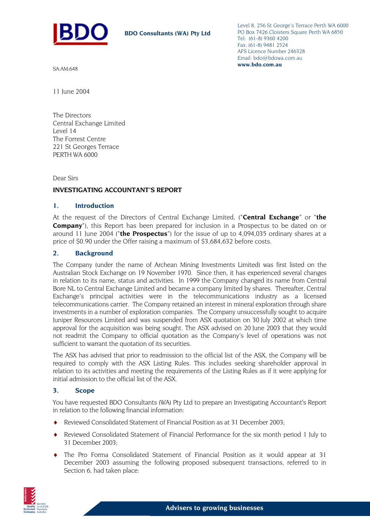

Level 8, 256 St George's Terrace Perth WA 6000 PO Box 7426 Cloisters Square Perth WA 6850 Tel: (61-8) 9360 4200 Fax: (61-8) 9481 2524 AFS Licence Number 246328 Email: bdo@bdowa.com.au **www.bdo.com.au** 

SA:AM:648

11 June 2004

The Directors Central Exchange Limited Level 14 The Forrest Centre 221 St Georges Terrace PERTH WA 6000

Dear Sirs

#### **INVESTIGATING ACCOUNTANT'S REPORT**

#### **1. Introduction**

At the request of the Directors of Central Exchange Limited, ("**Central Exchange**" or "**the Company**"), this Report has been prepared for inclusion in a Prospectus to be dated on or around 11 June 2004 ("**the Prospectus**") for the issue of up to 4,094,035 ordinary shares at a price of \$0.90 under the Offer raising a maximum of \$3,684,632 before costs.

#### **2. Background**

The Company (under the name of Archean Mining Investments Limited) was first listed on the Australian Stock Exchange on 19 November 1970. Since then, it has experienced several changes in relation to its name, status and activities. In 1999 the Company changed its name from Central Bore NL to Central Exchange Limited and became a company limited by shares. Thereafter, Central Exchange's principal activities were in the telecommunications industry as a licensed telecommunications carrier. The Company retained an interest in mineral exploration through share investments in a number of exploration companies. The Company unsuccessfully sought to acquire Juniper Resources Limited and was suspended from ASX quotation on 30 July 2002 at which time approval for the acquisition was being sought. The ASX advised on 20 June 2003 that they would not readmit the Company to official quotation as the Company's level of operations was not sufficient to warrant the quotation of its securities.

The ASX has advised that prior to readmission to the official list of the ASX, the Company will be required to comply with the ASX Listing Rules. This includes seeking shareholder approval in relation to its activities and meeting the requirements of the Listing Rules as if it were applying for initial admission to the official list of the ASX.

#### **3. Scope**

You have requested BDO Consultants (WA) Pty Ltd to prepare an Investigating Accountant's Report in relation to the following financial information:

- Reviewed Consolidated Statement of Financial Position as at 31 December 2003;
- Reviewed Consolidated Statement of Financial Performance for the six month period 1 July to 31 December 2003;
- The Pro Forma Consolidated Statement of Financial Position as it would appear at 31 December 2003 assuming the following proposed subsequent transactions, referred to in Section 6, had taken place:

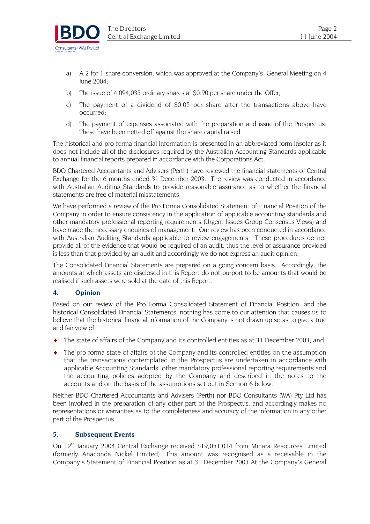

- a) A 2 for 1 share conversion, which was approved at the Company's General Meeting on 4 June 2004;
- b) The issue of 4,094,035 ordinary shares at \$0.90 per share under the Offer;
- c) The payment of a dividend of \$0.05 per share after the transactions above have occurred;
- d) The payment of expenses associated with the preparation and issue of the Prospectus. These have been netted off against the share capital raised.

The historical and pro forma financial information is presented in an abbreviated form insofar as it does not include all of the disclosures required by the Australian Accounting Standards applicable to annual financial reports prepared in accordance with the Corporations Act.

BDO Chartered Accountants and Advisers (Perth) have reviewed the financial statements of Central Exchange for the 6 months ended 31 December 2003. The review was conducted in accordance with Australian Auditing Standards to provide reasonable assurance as to whether the financial statements are free of material misstatements.

We have performed a review of the Pro Forma Consolidated Statement of Financial Position of the Company in order to ensure consistency in the application of applicable accounting standards and other mandatory professional reporting requirements (Urgent Issues Group Consensus Views) and have made the necessary enquiries of management. Our review has been conducted in accordance with Australian Auditing Standards applicable to review engagements. These procedures do not provide all of the evidence that would be required of an audit, thus the level of assurance provided is less than that provided by an audit and accordingly we do not express an audit opinion.

The Consolidated Financial Statements are prepared on a going concern basis. Accordingly, the amounts at which assets are disclosed in this Report do not purport to be amounts that would be realised if such assets were sold at the date of this Report.

#### **4. Opinion**

Based on our review of the Pro Forma Consolidated Statement of Financial Position, and the historical Consolidated Financial Statements, nothing has come to our attention that causes us to believe that the historical financial information of the Company is not drawn up so as to give a true and fair view of:

- $\bullet$  The state of affairs of the Company and its controlled entities as at 31 December 2003; and
- ♦ The pro forma state of affairs of the Company and its controlled entities on the assumption that the transactions contemplated in the Prospectus are undertaken in accordance with applicable Accounting Standards, other mandatory professional reporting requirements and the accounting policies adopted by the Company and described in the notes to the accounts and on the basis of the assumptions set out in Section 6 below.

Neither BDO Chartered Accountants and Advisers (Perth) nor BDO Consultants (WA) Pty Ltd has been involved in the preparation of any other part of the Prospectus, and accordingly makes no representations or warranties as to the completeness and accuracy of the information in any other part of the Prospectus.

#### **5. Subsequent Events**

On  $12<sup>th</sup>$  January 2004 Central Exchange received \$19,051,014 from Minara Resources Limited (formerly Anaconda Nickel Limited). This amount was recognised as a receivable in the Company's Statement of Financial Position as at 31 December 2003.At the Company's General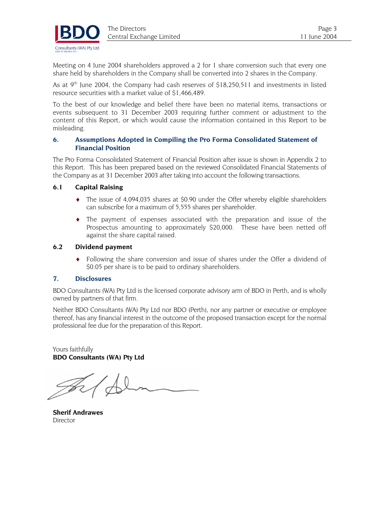

Meeting on 4 June 2004 shareholders approved a 2 for 1 share conversion such that every one share held by shareholders in the Company shall be converted into 2 shares in the Company.

As at  $9<sup>th</sup>$  June 2004, the Company had cash reserves of \$18,250,511 and investments in listed resource securities with a market value of \$1,466,489.

To the best of our knowledge and belief there have been no material items, transactions or events subsequent to 31 December 2003 requiring further comment or adjustment to the content of this Report, or which would cause the information contained in this Report to be misleading.

#### **6. Assumptions Adopted in Compiling the Pro Forma Consolidated Statement of Financial Position**

The Pro Forma Consolidated Statement of Financial Position after issue is shown in Appendix 2 to this Report. This has been prepared based on the reviewed Consolidated Financial Statements of the Company as at 31 December 2003 after taking into account the following transactions.

#### **6.1 Capital Raising**

- ♦ The issue of 4,094,035 shares at \$0.90 under the Offer whereby eligible shareholders can subscribe for a maximum of 5,555 shares per shareholder.
- ♦ The payment of expenses associated with the preparation and issue of the Prospectus amounting to approximately \$20,000. These have been netted off against the share capital raised.

#### **6.2 Dividend payment**

♦ Following the share conversion and issue of shares under the Offer a dividend of \$0.05 per share is to be paid to ordinary shareholders.

#### **7. Disclosures**

BDO Consultants (WA) Pty Ltd is the licensed corporate advisory arm of BDO in Perth, and is wholly owned by partners of that firm.

Neither BDO Consultants (WA) Pty Ltd nor BDO (Perth), nor any partner or executive or employee thereof, has any financial interest in the outcome of the proposed transaction except for the normal professional fee due for the preparation of this Report.

Yours faithfully **BDO Consultants (WA) Pty Ltd** 

**Sherif Andrawes**  Director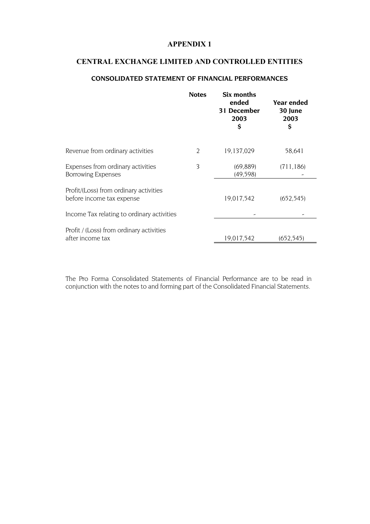#### **CENTRAL EXCHANGE LIMITED AND CONTROLLED ENTITIES**

#### **CONSOLIDATED STATEMENT OF FINANCIAL PERFORMANCES**

|                                                                     | <b>Notes</b>   | Six months<br>ended<br>31 December<br>2003<br>\$ | <b>Year ended</b><br>30 June<br>2003<br>\$ |
|---------------------------------------------------------------------|----------------|--------------------------------------------------|--------------------------------------------|
| Revenue from ordinary activities                                    | $\mathfrak{D}$ | 19,137,029                                       | 58,641                                     |
| Expenses from ordinary activities<br><b>Borrowing Expenses</b>      | 3              | (69, 889)<br>(49,598)                            | (711, 186)                                 |
| Profit/(Loss) from ordinary activities<br>before income tax expense |                | 19,017,542                                       | (652, 545)                                 |
| Income Tax relating to ordinary activities                          |                |                                                  |                                            |
| Profit / (Loss) from ordinary activities<br>after income tax        |                | 19,017,542                                       | (652.545)                                  |

The Pro Forma Consolidated Statements of Financial Performance are to be read in conjunction with the notes to and forming part of the Consolidated Financial Statements.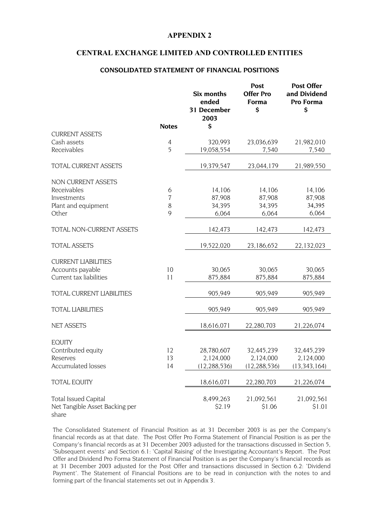#### **CENTRAL EXCHANGE LIMITED AND CONTROLLED ENTITIES**

#### **CONSOLIDATED STATEMENT OF FINANCIAL POSITIONS**

|                                                                        | <b>Notes</b>   | Six months<br>ended<br>31 December<br>2003<br>\$ | Post<br><b>Offer Pro</b><br>Forma<br>\$   | <b>Post Offer</b><br>and Dividend<br>Pro Forma<br>\$ |
|------------------------------------------------------------------------|----------------|--------------------------------------------------|-------------------------------------------|------------------------------------------------------|
| <b>CURRENT ASSETS</b>                                                  |                |                                                  |                                           |                                                      |
| Cash assets                                                            | $\overline{4}$ | 320,993                                          | 23,036,639                                | 21,982,010                                           |
| Receivables                                                            | 5              | 19,058,554                                       | 7,540                                     | 7,540                                                |
| <b>TOTAL CURRENT ASSETS</b>                                            |                | 19,379,547                                       | 23,044,179                                | 21,989,550                                           |
| NON CURRENT ASSETS                                                     |                |                                                  |                                           |                                                      |
| Receivables                                                            | 6              | 14,106                                           | 14,106                                    | 14,106                                               |
| Investments                                                            | $\overline{7}$ | 87,908                                           | 87,908                                    | 87,908                                               |
| Plant and equipment                                                    | 8              | 34,395                                           | 34,395                                    | 34,395                                               |
| Other                                                                  | 9              | 6,064                                            | 6,064                                     | 6,064                                                |
| <b>TOTAL NON-CURRENT ASSETS</b>                                        |                | 142,473                                          | 142,473                                   | 142,473                                              |
| <b>TOTAL ASSETS</b>                                                    |                | 19,522,020                                       | 23,186,652                                | 22,132,023                                           |
| <b>CURRENT LIABILITIES</b>                                             |                |                                                  |                                           |                                                      |
| Accounts payable                                                       | 10             | 30,065                                           | 30,065                                    | 30,065                                               |
| Current tax liabilities                                                | 11             | 875,884                                          | 875,884                                   | 875,884                                              |
| TOTAL CURRENT LIABILITIES                                              |                | 905,949                                          | 905,949                                   | 905,949                                              |
| <b>TOTAL LIABILITIES</b>                                               |                | 905,949                                          | 905,949                                   | 905,949                                              |
| <b>NET ASSETS</b>                                                      |                | 18,616,071                                       | 22,280,703                                | 21,226,074                                           |
| <b>EQUITY</b><br>Contributed equity<br>Reserves<br>Accumulated losses  | 12<br>13<br>14 | 28,780,607<br>2,124,000<br>(12, 288, 536)        | 32,445,239<br>2,124,000<br>(12, 288, 536) | 32,445,239<br>2,124,000<br>(13, 343, 164)            |
|                                                                        |                |                                                  |                                           |                                                      |
| <b>TOTAL EQUITY</b>                                                    |                | 18,616,071                                       | 22,280,703                                | 21,226,074                                           |
| <b>Total Issued Capital</b><br>Net Tangible Asset Backing per<br>share |                | 8,499,263<br>\$2.19                              | 21,092,561<br>\$1.06                      | 21,092,561<br>\$1.01                                 |

The Consolidated Statement of Financial Position as at 31 December 2003 is as per the Company's financial records as at that date. The Post Offer Pro Forma Statement of Financial Position is as per the Company's financial records as at 31 December 2003 adjusted for the transactions discussed in Section 5, 'Subsequent events' and Section 6.1: 'Capital Raising' of the Investigating Accountant's Report. The Post Offer and Dividend Pro Forma Statement of Financial Position is as per the Company's financial records as at 31 December 2003 adjusted for the Post Offer and transactions discussed in Section 6.2: 'Dividend Payment'. The Statement of Financial Positions are to be read in conjunction with the notes to and forming part of the financial statements set out in Appendix 3.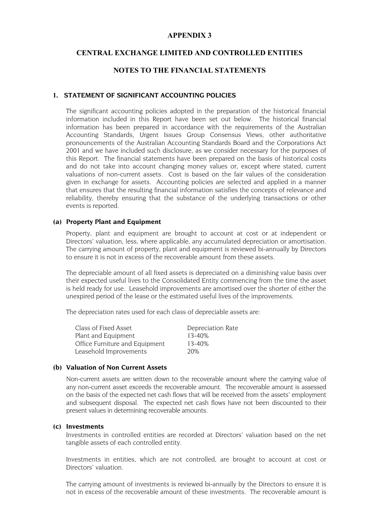#### **CENTRAL EXCHANGE LIMITED AND CONTROLLED ENTITIES**

#### **NOTES TO THE FINANCIAL STATEMENTS**

#### **1. STATEMENT OF SIGNIFICANT ACCOUNTING POLICIES**

The significant accounting policies adopted in the preparation of the historical financial information included in this Report have been set out below. The historical financial information has been prepared in accordance with the requirements of the Australian Accounting Standards, Urgent Issues Group Consensus Views, other authoritative pronouncements of the Australian Accounting Standards Board and the Corporations Act 2001 and we have included such disclosure, as we consider necessary for the purposes of this Report. The financial statements have been prepared on the basis of historical costs and do not take into account changing money values or, except where stated, current valuations of non-current assets. Cost is based on the fair values of the consideration given in exchange for assets. Accounting policies are selected and applied in a manner that ensures that the resulting financial information satisfies the concepts of relevance and reliability, thereby ensuring that the substance of the underlying transactions or other events is reported.

#### **(a) Property Plant and Equipment**

Property, plant and equipment are brought to account at cost or at independent or Directors' valuation, less, where applicable, any accumulated depreciation or amortisation. The carrying amount of property, plant and equipment is reviewed bi-annually by Directors to ensure it is not in excess of the recoverable amount from these assets.

The depreciable amount of all fixed assets is depreciated on a diminishing value basis over their expected useful lives to the Consolidated Entity commencing from the time the asset is held ready for use. Leasehold improvements are amortised over the shorter of either the unexpired period of the lease or the estimated useful lives of the improvements.

The depreciation rates used for each class of depreciable assets are:

| Class of Fixed Asset           | Depreciation Rate |
|--------------------------------|-------------------|
| Plant and Equipment            | $13 - 40%$        |
| Office Furniture and Equipment | $13 - 40%$        |
| Leasehold Improvements         | 20%               |

#### **(b) Valuation of Non Current Assets**

Non-current assets are written down to the recoverable amount where the carrying value of any non-current asset exceeds the recoverable amount. The recoverable amount is assessed on the basis of the expected net cash flows that will be received from the assets' employment and subsequent disposal. The expected net cash flows have not been discounted to their present values in determining recoverable amounts.

#### **(c) Investments**

Investments in controlled entities are recorded at Directors' valuation based on the net tangible assets of each controlled entity.

Investments in entities, which are not controlled, are brought to account at cost or Directors' valuation.

The carrying amount of investments is reviewed bi-annually by the Directors to ensure it is not in excess of the recoverable amount of these investments. The recoverable amount is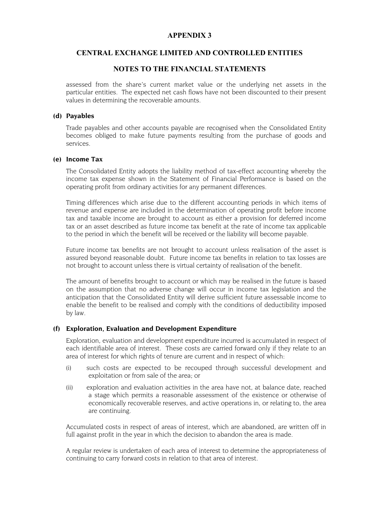#### **CENTRAL EXCHANGE LIMITED AND CONTROLLED ENTITIES**

#### **NOTES TO THE FINANCIAL STATEMENTS**

assessed from the share's current market value or the underlying net assets in the particular entities. The expected net cash flows have not been discounted to their present values in determining the recoverable amounts.

#### **(d) Payables**

Trade payables and other accounts payable are recognised when the Consolidated Entity becomes obliged to make future payments resulting from the purchase of goods and services.

#### **(e) Income Tax**

The Consolidated Entity adopts the liability method of tax-effect accounting whereby the income tax expense shown in the Statement of Financial Performance is based on the operating profit from ordinary activities for any permanent differences.

Timing differences which arise due to the different accounting periods in which items of revenue and expense are included in the determination of operating profit before income tax and taxable income are brought to account as either a provision for deferred income tax or an asset described as future income tax benefit at the rate of income tax applicable to the period in which the benefit will be received or the liability will become payable.

Future income tax benefits are not brought to account unless realisation of the asset is assured beyond reasonable doubt. Future income tax benefits in relation to tax losses are not brought to account unless there is virtual certainty of realisation of the benefit.

The amount of benefits brought to account or which may be realised in the future is based on the assumption that no adverse change will occur in income tax legislation and the anticipation that the Consolidated Entity will derive sufficient future assessable income to enable the benefit to be realised and comply with the conditions of deductibility imposed by law.

#### **(f) Exploration, Evaluation and Development Expenditure**

Exploration, evaluation and development expenditure incurred is accumulated in respect of each identifiable area of interest. These costs are carried forward only if they relate to an area of interest for which rights of tenure are current and in respect of which:

- (i) such costs are expected to be recouped through successful development and exploitation or from sale of the area; or
- (ii) exploration and evaluation activities in the area have not, at balance date, reached a stage which permits a reasonable assessment of the existence or otherwise of economically recoverable reserves, and active operations in, or relating to, the area are continuing.

Accumulated costs in respect of areas of interest, which are abandoned, are written off in full against profit in the year in which the decision to abandon the area is made.

A regular review is undertaken of each area of interest to determine the appropriateness of continuing to carry forward costs in relation to that area of interest.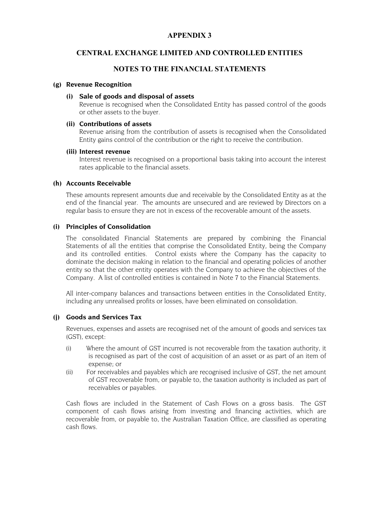#### **CENTRAL EXCHANGE LIMITED AND CONTROLLED ENTITIES**

#### **NOTES TO THE FINANCIAL STATEMENTS**

#### **(g) Revenue Recognition**

#### **(i) Sale of goods and disposal of assets**

Revenue is recognised when the Consolidated Entity has passed control of the goods or other assets to the buyer.

#### **(ii) Contributions of assets**

Revenue arising from the contribution of assets is recognised when the Consolidated Entity gains control of the contribution or the right to receive the contribution.

#### **(iii) Interest revenue**

Interest revenue is recognised on a proportional basis taking into account the interest rates applicable to the financial assets.

#### **(h) Accounts Receivable**

These amounts represent amounts due and receivable by the Consolidated Entity as at the end of the financial year. The amounts are unsecured and are reviewed by Directors on a regular basis to ensure they are not in excess of the recoverable amount of the assets.

#### **(i) Principles of Consolidation**

The consolidated Financial Statements are prepared by combining the Financial Statements of all the entities that comprise the Consolidated Entity, being the Company and its controlled entities. Control exists where the Company has the capacity to dominate the decision making in relation to the financial and operating policies of another entity so that the other entity operates with the Company to achieve the objectives of the Company. A list of controlled entities is contained in Note 7 to the Financial Statements.

All inter-company balances and transactions between entities in the Consolidated Entity, including any unrealised profits or losses, have been eliminated on consolidation.

#### **(j) Goods and Services Tax**

Revenues, expenses and assets are recognised net of the amount of goods and services tax (GST), except:

- (i) Where the amount of GST incurred is not recoverable from the taxation authority, it is recognised as part of the cost of acquisition of an asset or as part of an item of expense; or
- (ii) For receivables and payables which are recognised inclusive of GST, the net amount of GST recoverable from, or payable to, the taxation authority is included as part of receivables or payables.

Cash flows are included in the Statement of Cash Flows on a gross basis. The GST component of cash flows arising from investing and financing activities, which are recoverable from, or payable to, the Australian Taxation Office, are classified as operating cash flows.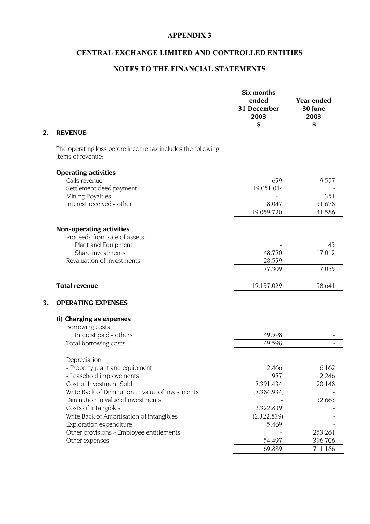### **CENTRAL EXCHANGE LIMITED AND CONTROLLED ENTITIES**

#### **NOTES TO THE FINANCIAL STATEMENTS**

| 2. | <b>REVENUE</b>                                                                                                                                                                                                                                                                                                                                                | Six months<br>ended<br>31 December<br>2003<br>\$                                                  | <b>Year ended</b><br>30 June<br>2003<br>\$                          |
|----|---------------------------------------------------------------------------------------------------------------------------------------------------------------------------------------------------------------------------------------------------------------------------------------------------------------------------------------------------------------|---------------------------------------------------------------------------------------------------|---------------------------------------------------------------------|
|    | The operating loss before income tax includes the following<br>items of revenue:                                                                                                                                                                                                                                                                              |                                                                                                   |                                                                     |
|    | <b>Operating activities</b><br>Calls revenue<br>Settlement deed payment<br>Mining Royalties<br>Interest received - other                                                                                                                                                                                                                                      | 659<br>19,051,014<br>8,047<br>19,059,720                                                          | 9,557<br>351<br>31,678<br>41,586                                    |
|    | <b>Non-operating activities</b><br>Proceeds from sale of assets:<br>Plant and Equipment<br>Share investments<br>Revaluation of investments                                                                                                                                                                                                                    | 48,750<br>28,559<br>77,309                                                                        | 43<br>17,012<br>17,055                                              |
|    | <b>Total revenue</b>                                                                                                                                                                                                                                                                                                                                          | 19,137,029                                                                                        | 58,641                                                              |
| 3. | <b>OPERATING EXPENSES</b>                                                                                                                                                                                                                                                                                                                                     |                                                                                                   |                                                                     |
|    | (i) Charging as expenses<br>Borrowing costs<br>Interest paid - others<br>Total borrowing costs                                                                                                                                                                                                                                                                | 49,598<br>49,598                                                                                  | $\overline{a}$                                                      |
|    | Depreciation<br>- Property plant and equipment<br>- Leasehold improvements<br>Cost of Investment Sold<br>Write Back of Diminution in value of investments<br>Diminution in value of investments<br>Costs of Intangibles<br>Write Back of Amortisation of intangibles<br>Exploration expenditure<br>Other provisions - Employee entitlements<br>Other expenses | 2,466<br>957<br>5,391,434<br>(5,384,934)<br>2,322,839<br>(2,322,839)<br>5,469<br>54,497<br>69,889 | 6,162<br>2,246<br>20,148<br>32,663<br>253,261<br>396,706<br>711,186 |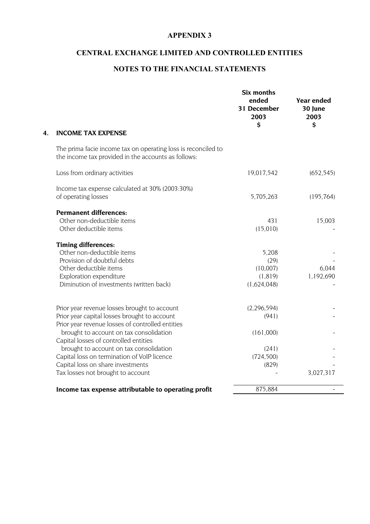### **CENTRAL EXCHANGE LIMITED AND CONTROLLED ENTITIES**

#### **NOTES TO THE FINANCIAL STATEMENTS**

|                                                                                                                      | Six months<br>ended<br>31 December<br>2003<br>\$ | <b>Year ended</b><br>30 June<br>2003<br>\$ |
|----------------------------------------------------------------------------------------------------------------------|--------------------------------------------------|--------------------------------------------|
| <b>INCOME TAX EXPENSE</b>                                                                                            |                                                  |                                            |
| The prima facie income tax on operating loss is reconciled to<br>the income tax provided in the accounts as follows: |                                                  |                                            |
| Loss from ordinary activities                                                                                        | 19,017,542                                       | (652, 545)                                 |
| Income tax expense calculated at 30% (2003:30%)                                                                      |                                                  |                                            |
| of operating losses                                                                                                  | 5,705,263                                        | (195, 764)                                 |
| <b>Permanent differences:</b>                                                                                        |                                                  |                                            |
| Other non-deductible items                                                                                           | 431                                              | 15,003                                     |
| Other deductible items                                                                                               | (15,010)                                         |                                            |
| <b>Timing differences:</b>                                                                                           |                                                  |                                            |
| Other non-deductible items                                                                                           | 5,208                                            |                                            |
| Provision of doubtful debts                                                                                          | (29)                                             |                                            |
| Other deductible items                                                                                               | (10,007)                                         | 6,044                                      |
| Exploration expenditure                                                                                              | (1, 819)                                         | 1,192,690                                  |
| Diminution of investments (written back)                                                                             | (1,624,048)                                      |                                            |
| Prior year revenue losses brought to account                                                                         | (2, 296, 594)                                    |                                            |
| Prior year capital losses brought to account                                                                         | (941)                                            |                                            |
| Prior year revenue losses of controlled entities                                                                     |                                                  |                                            |
| brought to account on tax consolidation                                                                              | (161,000)                                        |                                            |
| Capital losses of controlled entities                                                                                |                                                  |                                            |
| brought to account on tax consolidation                                                                              | (241)                                            |                                            |
| Capital loss on termination of VoIP licence                                                                          | (724, 500)                                       |                                            |
| Capital loss on share investments                                                                                    | (829)                                            |                                            |
| Tax losses not brought to account                                                                                    |                                                  | 3,027,317                                  |
| Income tax expense attributable to operating profit                                                                  | 875,884                                          |                                            |
|                                                                                                                      |                                                  |                                            |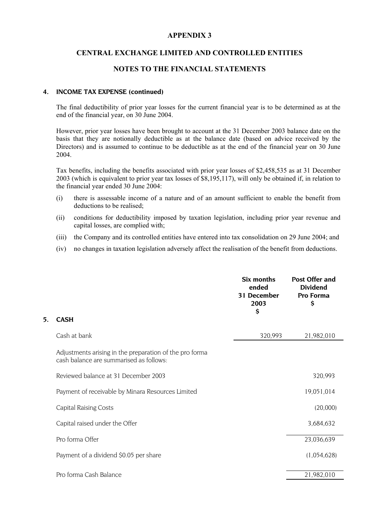#### **CENTRAL EXCHANGE LIMITED AND CONTROLLED ENTITIES**

#### **NOTES TO THE FINANCIAL STATEMENTS**

#### **4. INCOME TAX EXPENSE (continued)**

The final deductibility of prior year losses for the current financial year is to be determined as at the end of the financial year, on 30 June 2004.

However, prior year losses have been brought to account at the 31 December 2003 balance date on the basis that they are notionally deductible as at the balance date (based on advice received by the Directors) and is assumed to continue to be deductible as at the end of the financial year on 30 June 2004.

Tax benefits, including the benefits associated with prior year losses of \$2,458,535 as at 31 December 2003 (which is equivalent to prior year tax losses of \$8,195,117), will only be obtained if, in relation to the financial year ended 30 June 2004:

- (i) there is assessable income of a nature and of an amount sufficient to enable the benefit from deductions to be realised;
- (ii) conditions for deductibility imposed by taxation legislation, including prior year revenue and capital losses, are complied with;
- (iii) the Company and its controlled entities have entered into tax consolidation on 29 June 2004; and
- (iv) no changes in taxation legislation adversely affect the realisation of the benefit from deductions.

|    |                                                                                                    | Six months<br>ended<br>31 December<br>2003<br>\$ | <b>Post Offer and</b><br><b>Dividend</b><br>Pro Forma<br>\$ |
|----|----------------------------------------------------------------------------------------------------|--------------------------------------------------|-------------------------------------------------------------|
| 5. | <b>CASH</b>                                                                                        |                                                  |                                                             |
|    | Cash at bank                                                                                       | 320,993                                          | 21,982,010                                                  |
|    | Adjustments arising in the preparation of the pro forma<br>cash balance are summarised as follows: |                                                  |                                                             |
|    | Reviewed balance at 31 December 2003                                                               |                                                  | 320,993                                                     |
|    | Payment of receivable by Minara Resources Limited                                                  |                                                  | 19,051,014                                                  |
|    | <b>Capital Raising Costs</b>                                                                       |                                                  | (20,000)                                                    |
|    | Capital raised under the Offer                                                                     |                                                  | 3,684,632                                                   |
|    | Pro forma Offer                                                                                    |                                                  | 23,036,639                                                  |
|    | Payment of a dividend \$0.05 per share                                                             |                                                  | (1,054,628)                                                 |
|    | Pro forma Cash Balance                                                                             |                                                  | 21,982,010                                                  |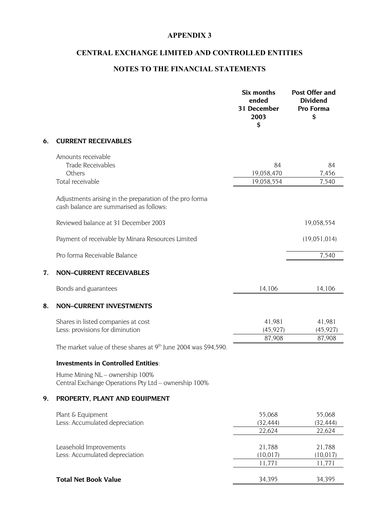### **CENTRAL EXCHANGE LIMITED AND CONTROLLED ENTITIES**

### **NOTES TO THE FINANCIAL STATEMENTS**

|    |                                                                                                    | Six months<br>ended<br>31 December<br>2003<br>\$ | <b>Post Offer and</b><br><b>Dividend</b><br>Pro Forma<br>\$ |
|----|----------------------------------------------------------------------------------------------------|--------------------------------------------------|-------------------------------------------------------------|
| 6. | <b>CURRENT RECEIVABLES</b>                                                                         |                                                  |                                                             |
|    | Amounts receivable<br><b>Trade Receivables</b><br>Others<br>Total receivable                       | 84<br>19,058,470<br>19,058,554                   | 84<br>7,456<br>7,540                                        |
|    | Adjustments arising in the preparation of the pro forma<br>cash balance are summarised as follows: |                                                  |                                                             |
|    | Reviewed balance at 31 December 2003                                                               |                                                  | 19,058,554                                                  |
|    | Payment of receivable by Minara Resources Limited                                                  |                                                  | (19,051,014)                                                |
|    | Pro forma Receivable Balance                                                                       |                                                  | 7,540                                                       |
| 7. | <b>NON-CURRENT RECEIVABLES</b>                                                                     |                                                  |                                                             |
|    | Bonds and guarantees                                                                               | 14,106                                           | 14,106                                                      |
| 8. | <b>NON-CURRENT INVESTMENTS</b>                                                                     |                                                  |                                                             |
|    | Shares in listed companies at cost<br>Less: provisions for diminution                              | 41,981<br>(45, 927)<br>87,908                    | 41,981<br>(45, 927)<br>87,908                               |
|    | The market value of these shares at 9 <sup>th</sup> June 2004 was \$94,590.                        |                                                  |                                                             |
|    | <b>Investments in Controlled Entities:</b>                                                         |                                                  |                                                             |
|    | Hume Mining NL - ownership 100%<br>Central Exchange Operations Pty Ltd - ownership 100%            |                                                  |                                                             |
| 9. | PROPERTY, PLANT AND EQUIPMENT                                                                      |                                                  |                                                             |
|    | Plant & Equipment<br>Less: Accumulated depreciation                                                | 55,068<br>(32, 444)<br>22,624                    | 55,068<br>(32, 444)<br>22,624                               |
|    | Leasehold Improvements<br>Less: Accumulated depreciation                                           | 21,788<br>(10, 017)<br>11,771                    | 21,788<br>(10, 017)<br>11,771                               |
|    | <b>Total Net Book Value</b>                                                                        | 34,395                                           | 34,395                                                      |
|    |                                                                                                    |                                                  |                                                             |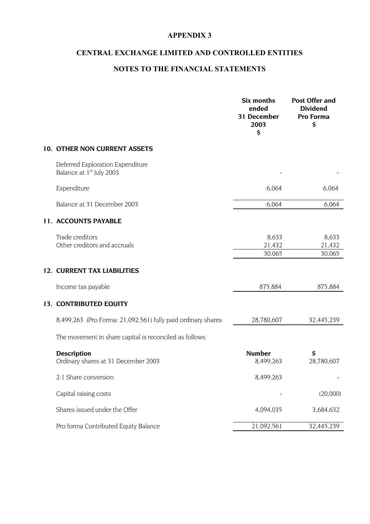### **CENTRAL EXCHANGE LIMITED AND CONTROLLED ENTITIES**

### **NOTES TO THE FINANCIAL STATEMENTS**

|                                                                          | Six months<br>ended<br>31 December<br>2003<br>\$ | <b>Post Offer and</b><br><b>Dividend</b><br>Pro Forma<br>\$ |
|--------------------------------------------------------------------------|--------------------------------------------------|-------------------------------------------------------------|
| 10. OTHER NON CURRENT ASSETS                                             |                                                  |                                                             |
| Deferred Exploration Expenditure<br>Balance at 1 <sup>st</sup> July 2003 |                                                  |                                                             |
| Expenditure                                                              | 6,064                                            | 6,064                                                       |
| Balance at 31 December 2003                                              | 6,064                                            | 6,064                                                       |
| 11. ACCOUNTS PAYABLE                                                     |                                                  |                                                             |
| Trade creditors<br>Other creditors and accruals                          | 8,633<br>21,432<br>30,065                        | 8,633<br>21,432<br>30,065                                   |
| <b>12. CURRENT TAX LIABILITIES</b>                                       |                                                  |                                                             |
| Income tax payable                                                       | 875,884                                          | 875,884                                                     |
| 13. CONTRIBUTED EQUITY                                                   |                                                  |                                                             |
| 8,499,263 (Pro Forma: 21,092,561) fully paid ordinary shares             | 28,780,607                                       | 32,445,239                                                  |
| The movement in share capital is reconciled as follows:                  |                                                  |                                                             |
| <b>Description</b><br>Ordinary shares at 31 December 2003                | <b>Number</b><br>8,499,263                       | \$<br>28,780,607                                            |
| 2:1 Share conversion                                                     | 8,499,263                                        |                                                             |
| Capital raising costs                                                    |                                                  | (20,000)                                                    |
| Shares issued under the Offer                                            | 4,094,035                                        | 3,684,632                                                   |
| Pro forma Contributed Equity Balance                                     | 21,092,561                                       | 32,445,239                                                  |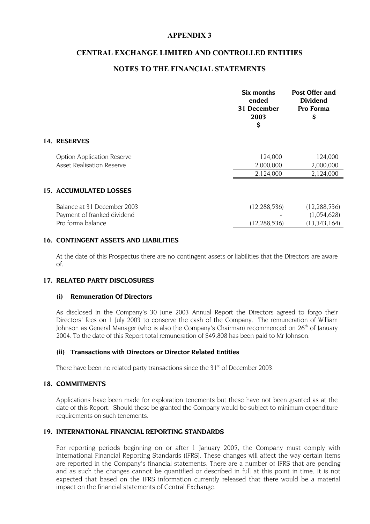#### **CENTRAL EXCHANGE LIMITED AND CONTROLLED ENTITIES**

#### **NOTES TO THE FINANCIAL STATEMENTS**

|                                                                       | Six months<br>ended<br>31 December<br>2003<br>\$ | <b>Post Offer and</b><br><b>Dividend</b><br>Pro Forma<br>\$ |
|-----------------------------------------------------------------------|--------------------------------------------------|-------------------------------------------------------------|
| 14. RESERVES                                                          |                                                  |                                                             |
| <b>Option Application Reserve</b><br><b>Asset Realisation Reserve</b> | 124,000<br>2,000,000                             | 124,000<br>2,000,000                                        |
|                                                                       | 2,124,000                                        | 2,124,000                                                   |
| 15. ACCUMULATED LOSSES                                                |                                                  |                                                             |
| Balance at 31 December 2003<br>Payment of franked dividend            | (12, 288, 536)                                   | (12, 288, 536)<br>(1,054,628)                               |
| Pro forma balance                                                     | (12, 288, 536)                                   | (13, 343, 164)                                              |

#### **16. CONTINGENT ASSETS AND LIABILITIES**

At the date of this Prospectus there are no contingent assets or liabilities that the Directors are aware of.

#### **17. RELATED PARTY DISCLOSURES**

#### **(i) Remuneration Of Directors**

As disclosed in the Company's 30 June 2003 Annual Report the Directors agreed to forgo their Directors' fees on 1 July 2003 to conserve the cash of the Company. The remuneration of William Johnson as General Manager (who is also the Company's Chairman) recommenced on 26<sup>th</sup> of January 2004. To the date of this Report total remuneration of \$49,808 has been paid to Mr Johnson.

#### **(ii) Transactions with Directors or Director Related Entities**

There have been no related party transactions since the  $31<sup>st</sup>$  of December 2003.

#### **18. COMMITMENTS**

Applications have been made for exploration tenements but these have not been granted as at the date of this Report. Should these be granted the Company would be subject to minimum expenditure requirements on such tenements.

#### **19. INTERNATIONAL FINANCIAL REPORTING STANDARDS**

For reporting periods beginning on or after 1 January 2005, the Company must comply with International Financial Reporting Standards (IFRS). These changes will affect the way certain items are reported in the Company's financial statements. There are a number of IFRS that are pending and as such the changes cannot be quantified or described in full at this point in time. It is not expected that based on the IFRS information currently released that there would be a material impact on the financial statements of Central Exchange.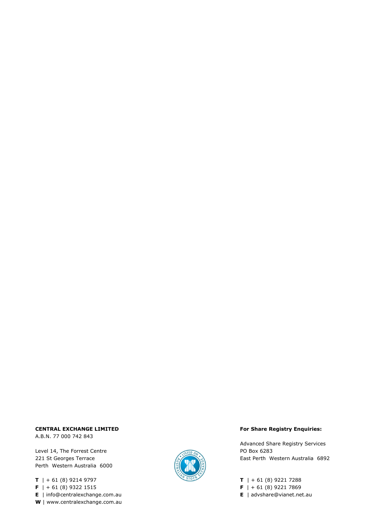#### CENTRAL EXCHANGE LIMITED **EXAMPLE 20 ACCESS** For Share Registry Enquiries:

A.B.N. 77 000 742 843

Level 14, The Forrest Centre **PO Box 6283** Perth Western Australia 6000

**T** | + 61 (8) 9214 9797 **T** | + 61 (8) 9221 7288 **F** | + 61 (8) 9322 1515 **F** | + 61 (8) 9221 7869 **E** | info@centralexchange.com.au **E** | advshare@vianet.net.au **W** | www.centralexchange.com.au



Advanced Share Registry Services 221 St Georges Terrace **East Perth Western Australia** 6892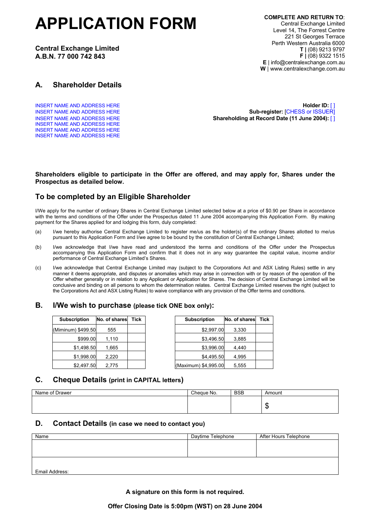# **APPLICATION FORM**

**Central Exchange Limited A.B.N. 77 000 742 843**

#### **A. Shareholder Details**

INSERT NAME AND ADDRESS HERE INSERT NAME AND ADDRESS HERE INSERT NAME AND ADDRESS HERE

INSERT NAME AND ADDRESS HERE **Holder ID:** [ ] INSERT NAME AND ADDRESS HERE **Sub-register:** [CHESS or ISSUER] INSERT NAME AND ADDRESS HERE **Shareholding at Record Date (11 June 2004):** [ ]

#### **Shareholders eligible to participate in the Offer are offered, and may apply for, Shares under the Prospectus as detailed below.**

#### **To be completed by an Eligible Shareholder**

I/We apply for the number of ordinary Shares in Central Exchange Limited selected below at a price of \$0.90 per Share in accordance with the terms and conditions of the Offer under the Prospectus dated 11 June 2004 accompanying this Application Form. By making payment for the Shares applied for and lodging this form, duly completed:

- (a) I/we hereby authorise Central Exchange Limited to register me/us as the holder(s) of the ordinary Shares allotted to me/us pursuant to this Application Form and I/we agree to be bound by the constitution of Central Exchange Limited;
- (b) I/we acknowledge that I/we have read and understood the terms and conditions of the Offer under the Prospectus accompanying this Application Form and confirm that it does not in any way guarantee the capital value, income and/or performance of Central Exchange Limited's Shares.
- (c) I/we acknowledge that Central Exchange Limited may (subject to the Corporations Act and ASX Listing Rules) settle in any manner it deems appropriate, and disputes or anomalies which may arise in connection with or by reason of the operation of the Offer whether generally or in relation to any Applicant or Application for Shares. The decision of Central Exchange Limited will be conclusive and binding on all persons to whom the determination relates. Central Exchange Limited reserves the right (subject to the Corporations Act and ASX Listing Rules) to waive compliance with any provision of the Offer terms and conditions.

#### **B. I/We wish to purchase (please tick ONE box only):**

| <b>Subscription</b> | No. of shares | Tick | <b>Subscription</b>  | No. of sha |
|---------------------|---------------|------|----------------------|------------|
| (Miminum) \$499.50  | 555           |      | \$2,997.00           | 3,330      |
| \$999.00            | 1,110         |      | \$3,496.50           | 3,885      |
| \$1,498.50          | 1,665         |      | \$3,996.00           | 4,440      |
| \$1,998.00          | 2,220         |      | \$4,495.50           | 4,995      |
| \$2,497.50          | 2,775         |      | (Maximum) \$4,995.00 | 5,555      |

| <b>Subscription</b> | No. of shares | Tick | No. of shares<br><b>Subscription</b> | <b>Tick</b> |
|---------------------|---------------|------|--------------------------------------|-------------|
| minum) \$499.50     | 555           |      | 3,330<br>\$2,997.00                  |             |
| \$999.00            | 1,110         |      | \$3,496.50<br>3,885                  |             |
| \$1,498.50          | 1,665         |      | \$3,996.00<br>4,440                  |             |
| \$1,998.00          | 2,220         |      | \$4,495.50<br>4,995                  |             |
| \$2,497.50          | 2.775         |      | (Maximum) \$4,995.00<br>5.555        |             |

#### **C. Cheque Details (print in CAPITAL letters)**

| Name of Drawer | Cheque No. | <b>BSB</b> | Amount       |
|----------------|------------|------------|--------------|
|                |            |            |              |
|                |            |            | $\mathbf{H}$ |

#### **D. Contact Details (in case we need to contact you)**

| Name           | Daytime Telephone | After Hours Telephone |
|----------------|-------------------|-----------------------|
|                |                   |                       |
|                |                   |                       |
|                |                   |                       |
|                |                   |                       |
| Email Address: |                   |                       |

**A signature on this form is not required.**